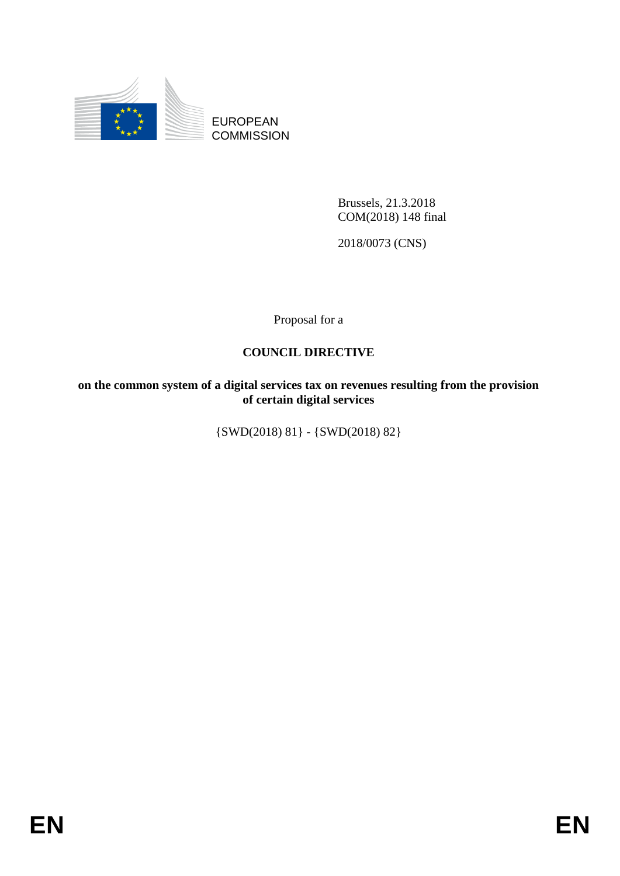

EUROPEAN **COMMISSION** 

> Brussels, 21.3.2018 COM(2018) 148 final

2018/0073 (CNS)

Proposal for a

## **COUNCIL DIRECTIVE**

**on the common system of a digital services tax on revenues resulting from the provision of certain digital services** 

{SWD(2018) 81} - {SWD(2018) 82}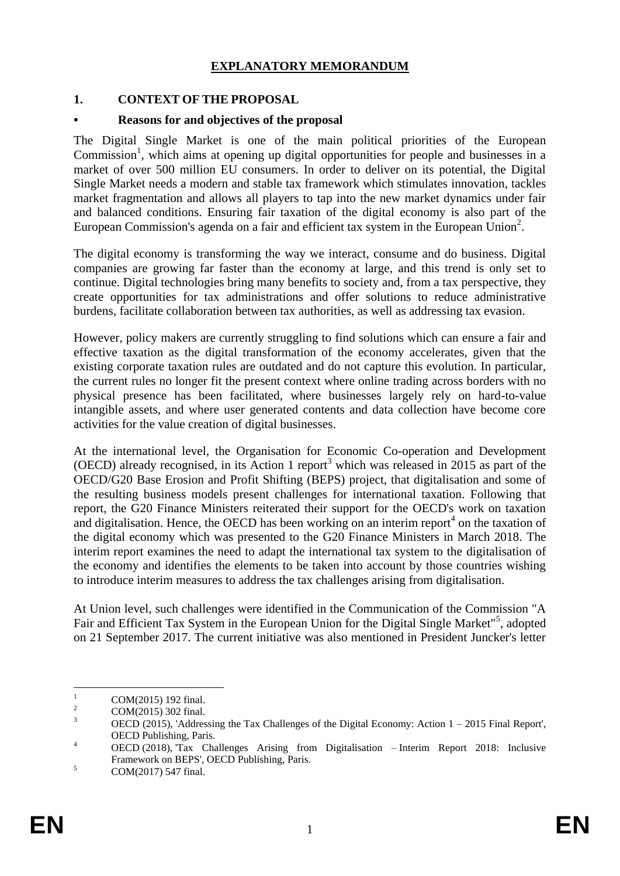### **EXPLANATORY MEMORANDUM**

### **1. CONTEXT OF THE PROPOSAL**

### **• Reasons for and objectives of the proposal**

The Digital Single Market is one of the main political priorities of the European Commission<sup>1</sup>, which aims at opening up digital opportunities for people and businesses in a market of over 500 million EU consumers. In order to deliver on its potential, the Digital Single Market needs a modern and stable tax framework which stimulates innovation, tackles market fragmentation and allows all players to tap into the new market dynamics under fair and balanced conditions. Ensuring fair taxation of the digital economy is also part of the European Commission's agenda on a fair and efficient tax system in the European Union<sup>2</sup>.

The digital economy is transforming the way we interact, consume and do business. Digital companies are growing far faster than the economy at large, and this trend is only set to continue. Digital technologies bring many benefits to society and, from a tax perspective, they create opportunities for tax administrations and offer solutions to reduce administrative burdens, facilitate collaboration between tax authorities, as well as addressing tax evasion.

However, policy makers are currently struggling to find solutions which can ensure a fair and effective taxation as the digital transformation of the economy accelerates, given that the existing corporate taxation rules are outdated and do not capture this evolution. In particular, the current rules no longer fit the present context where online trading across borders with no physical presence has been facilitated, where businesses largely rely on hard-to-value intangible assets, and where user generated contents and data collection have become core activities for the value creation of digital businesses.

At the international level, the Organisation for Economic Co-operation and Development (OECD) already recognised, in its Action 1 report<sup>3</sup> which was released in 2015 as part of the OECD/G20 Base Erosion and Profit Shifting (BEPS) project, that digitalisation and some of the resulting business models present challenges for international taxation. Following that report, the G20 Finance Ministers reiterated their support for the OECD's work on taxation and digitalisation. Hence, the OECD has been working on an interim report<sup>4</sup> on the taxation of the digital economy which was presented to the G20 Finance Ministers in March 2018. The interim report examines the need to adapt the international tax system to the digitalisation of the economy and identifies the elements to be taken into account by those countries wishing to introduce interim measures to address the tax challenges arising from digitalisation.

At Union level, such challenges were identified in the Communication of the Commission "A Fair and Efficient Tax System in the European Union for the Digital Single Market"<sup>5</sup>, adopted on 21 September 2017. The current initiative was also mentioned in President Juncker's letter

 $\mathbf{1}$  $^{1}$  COM(2015) 192 final.

 $2 \text{COM}(2015) \, 302 \text{ final.}$ 

OECD (2015), 'Addressing the Tax Challenges of the Digital Economy: Action  $1 - 2015$  Final Report', OECD Publishing, Paris.

<sup>4</sup> OECD (2018), 'Tax Challenges Arising from Digitalisation – Interim Report 2018: Inclusive Framework on BEPS', OECD Publishing, Paris.

 $5$  COM(2017) 547 final.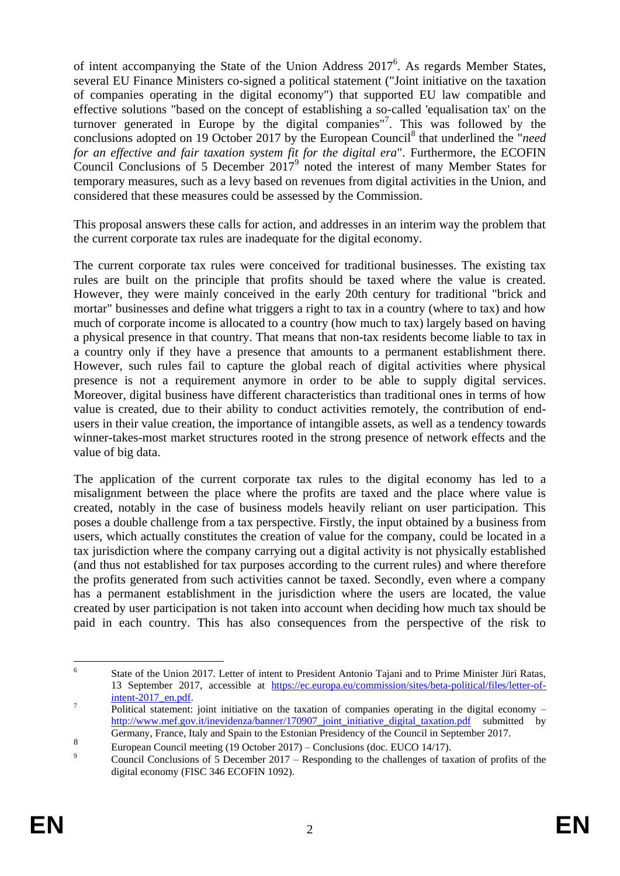of intent accompanying the State of the Union Address  $2017^6$ . As regards Member States, several EU Finance Ministers co-signed a political statement ("Joint initiative on the taxation of companies operating in the digital economy") that supported EU law compatible and effective solutions "based on the concept of establishing a so-called 'equalisation tax' on the turnover generated in Europe by the digital companies"<sup>7</sup>. This was followed by the conclusions adopted on 19 October 2017 by the European Council<sup>8</sup> that underlined the "*need for an effective and fair taxation system fit for the digital era*". Furthermore, the ECOFIN Council Conclusions of 5 December  $2017^9$  noted the interest of many Member States for temporary measures, such as a levy based on revenues from digital activities in the Union, and considered that these measures could be assessed by the Commission.

This proposal answers these calls for action, and addresses in an interim way the problem that the current corporate tax rules are inadequate for the digital economy.

The current corporate tax rules were conceived for traditional businesses. The existing tax rules are built on the principle that profits should be taxed where the value is created. However, they were mainly conceived in the early 20th century for traditional "brick and mortar" businesses and define what triggers a right to tax in a country (where to tax) and how much of corporate income is allocated to a country (how much to tax) largely based on having a physical presence in that country. That means that non-tax residents become liable to tax in a country only if they have a presence that amounts to a permanent establishment there. However, such rules fail to capture the global reach of digital activities where physical presence is not a requirement anymore in order to be able to supply digital services. Moreover, digital business have different characteristics than traditional ones in terms of how value is created, due to their ability to conduct activities remotely, the contribution of endusers in their value creation, the importance of intangible assets, as well as a tendency towards winner-takes-most market structures rooted in the strong presence of network effects and the value of big data.

The application of the current corporate tax rules to the digital economy has led to a misalignment between the place where the profits are taxed and the place where value is created, notably in the case of business models heavily reliant on user participation. This poses a double challenge from a tax perspective. Firstly, the input obtained by a business from users, which actually constitutes the creation of value for the company, could be located in a tax jurisdiction where the company carrying out a digital activity is not physically established (and thus not established for tax purposes according to the current rules) and where therefore the profits generated from such activities cannot be taxed. Secondly, even where a company has a permanent establishment in the jurisdiction where the users are located, the value created by user participation is not taken into account when deciding how much tax should be paid in each country. This has also consequences from the perspective of the risk to

 $\frac{1}{6}$ State of the Union 2017. Letter of intent to President Antonio Tajani and to Prime Minister Jüri Ratas, 13 September 2017, accessible at [https://ec.europa.eu/commission/sites/beta-political/files/letter-of](https://ec.europa.eu/commission/sites/beta-political/files/letter-of-intent-2017_en.pdf)[intent-2017\\_en.pdf.](https://ec.europa.eu/commission/sites/beta-political/files/letter-of-intent-2017_en.pdf)

<sup>7</sup> Political statement: joint initiative on the taxation of companies operating in the digital economy – [http://www.mef.gov.it/inevidenza/banner/170907\\_joint\\_initiative\\_digital\\_taxation.pdf](http://www.mef.gov.it/inevidenza/banner/170907_joint_initiative_digital_taxation.pdf) submitted by Germany, France, Italy and Spain to the Estonian Presidency of the Council in September 2017.

<sup>8</sup> European Council meeting (19 October 2017) – Conclusions (doc. EUCO 14/17).

<sup>&</sup>lt;sup>9</sup><br>Council Conclusions of 5 December 2017 – Responding to the challenges of taxation of profits of the digital economy (FISC 346 ECOFIN 1092).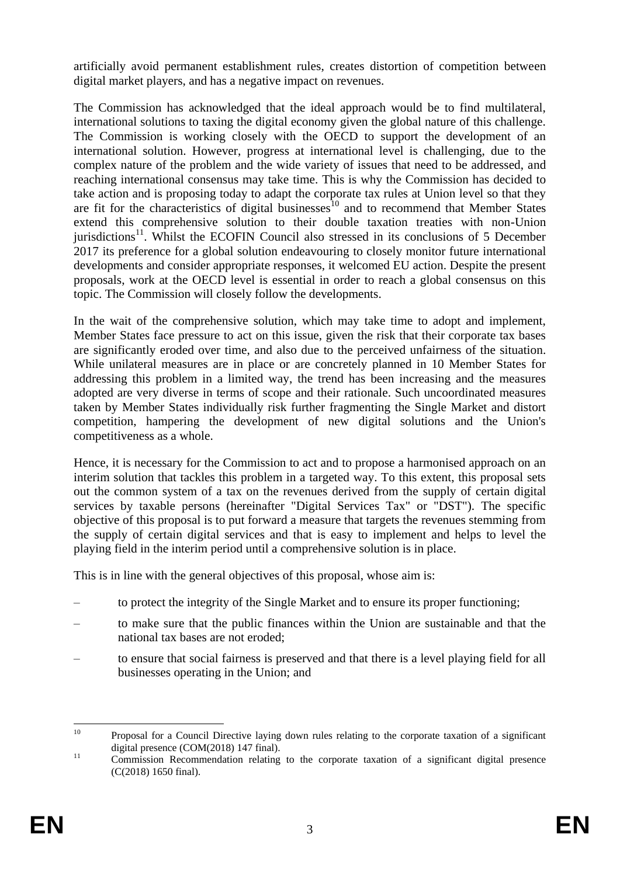artificially avoid permanent establishment rules, creates distortion of competition between digital market players, and has a negative impact on revenues.

The Commission has acknowledged that the ideal approach would be to find multilateral, international solutions to taxing the digital economy given the global nature of this challenge. The Commission is working closely with the OECD to support the development of an international solution. However, progress at international level is challenging, due to the complex nature of the problem and the wide variety of issues that need to be addressed, and reaching international consensus may take time. This is why the Commission has decided to take action and is proposing today to adapt the corporate tax rules at Union level so that they are fit for the characteristics of digital businesses<sup>10</sup> and to recommend that Member States extend this comprehensive solution to their double taxation treaties with non-Union jurisdictions<sup>11</sup>. Whilst the ECOFIN Council also stressed in its conclusions of 5 December 2017 its preference for a global solution endeavouring to closely monitor future international developments and consider appropriate responses, it welcomed EU action. Despite the present proposals, work at the OECD level is essential in order to reach a global consensus on this topic. The Commission will closely follow the developments.

In the wait of the comprehensive solution, which may take time to adopt and implement, Member States face pressure to act on this issue, given the risk that their corporate tax bases are significantly eroded over time, and also due to the perceived unfairness of the situation. While unilateral measures are in place or are concretely planned in 10 Member States for addressing this problem in a limited way, the trend has been increasing and the measures adopted are very diverse in terms of scope and their rationale. Such uncoordinated measures taken by Member States individually risk further fragmenting the Single Market and distort competition, hampering the development of new digital solutions and the Union's competitiveness as a whole.

Hence, it is necessary for the Commission to act and to propose a harmonised approach on an interim solution that tackles this problem in a targeted way. To this extent, this proposal sets out the common system of a tax on the revenues derived from the supply of certain digital services by taxable persons (hereinafter "Digital Services Tax" or "DST"). The specific objective of this proposal is to put forward a measure that targets the revenues stemming from the supply of certain digital services and that is easy to implement and helps to level the playing field in the interim period until a comprehensive solution is in place.

This is in line with the general objectives of this proposal, whose aim is:

- to protect the integrity of the Single Market and to ensure its proper functioning;
- to make sure that the public finances within the Union are sustainable and that the national tax bases are not eroded;
- to ensure that social fairness is preserved and that there is a level playing field for all businesses operating in the Union; and

 $10<sup>1</sup>$ <sup>10</sup> Proposal for a Council Directive laying down rules relating to the corporate taxation of a significant digital presence (COM(2018) 147 final).

<sup>&</sup>lt;sup>11</sup> Commission Recommendation relating to the corporate taxation of a significant digital presence (C(2018) 1650 final).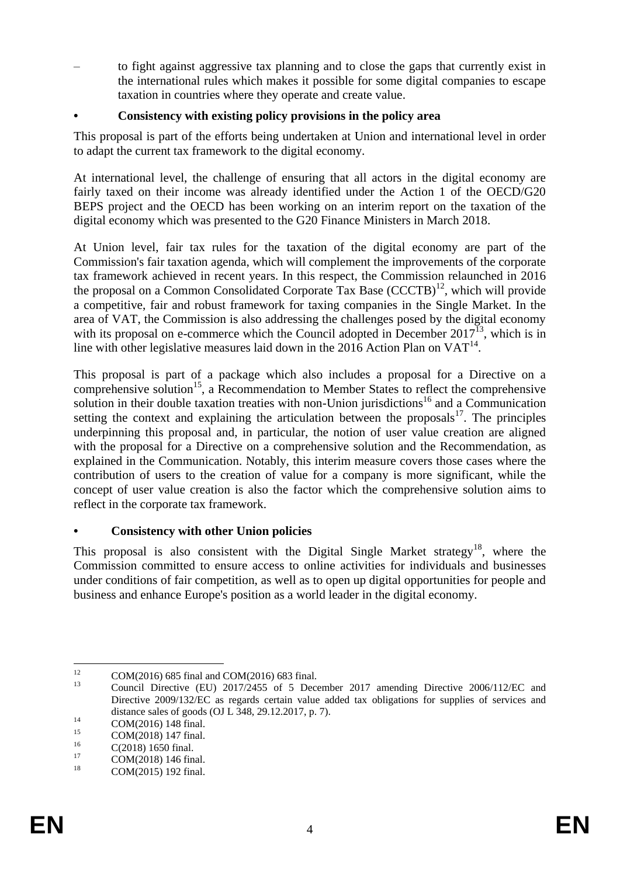– to fight against aggressive tax planning and to close the gaps that currently exist in the international rules which makes it possible for some digital companies to escape taxation in countries where they operate and create value.

### **• Consistency with existing policy provisions in the policy area**

This proposal is part of the efforts being undertaken at Union and international level in order to adapt the current tax framework to the digital economy.

At international level, the challenge of ensuring that all actors in the digital economy are fairly taxed on their income was already identified under the Action 1 of the OECD/G20 BEPS project and the OECD has been working on an interim report on the taxation of the digital economy which was presented to the G20 Finance Ministers in March 2018.

At Union level, fair tax rules for the taxation of the digital economy are part of the Commission's fair taxation agenda, which will complement the improvements of the corporate tax framework achieved in recent years. In this respect, the Commission relaunched in 2016 the proposal on a Common Consolidated Corporate Tax Base  $(CCCTB)^{12}$ , which will provide a competitive, fair and robust framework for taxing companies in the Single Market. In the area of VAT, the Commission is also addressing the challenges posed by the digital economy with its proposal on e-commerce which the Council adopted in December  $2017^{13}$ , which is in line with other legislative measures laid down in the 2016 Action Plan on  $VAT^{14}$ .

This proposal is part of a package which also includes a proposal for a Directive on a comprehensive solution<sup>15</sup>, a Recommendation to Member States to reflect the comprehensive solution in their double taxation treaties with non-Union jurisdictions<sup>16</sup> and a Communication setting the context and explaining the articulation between the proposals<sup>17</sup>. The principles underpinning this proposal and, in particular, the notion of user value creation are aligned with the proposal for a Directive on a comprehensive solution and the Recommendation, as explained in the Communication. Notably, this interim measure covers those cases where the contribution of users to the creation of value for a company is more significant, while the concept of user value creation is also the factor which the comprehensive solution aims to reflect in the corporate tax framework.

### **• Consistency with other Union policies**

This proposal is also consistent with the Digital Single Market strategy<sup>18</sup>, where the Commission committed to ensure access to online activities for individuals and businesses under conditions of fair competition, as well as to open up digital opportunities for people and business and enhance Europe's position as a world leader in the digital economy.

 $12$ <sup>12</sup> COM(2016) 685 final and COM(2016) 683 final.

<sup>13</sup> Council Directive (EU) 2017/2455 of [5 December 2017 amending Directive 2006/112/EC and](http://eur-lex.europa.eu/legal-content/AUTO/?uri=CELEX:32017L2455&qid=1517055961726&rid=1)  Directive 2009/132/EC as regards certain value [added tax obligations for supplies of services and](http://eur-lex.europa.eu/legal-content/AUTO/?uri=CELEX:32017L2455&qid=1517055961726&rid=1)  [distance sales of goods](http://eur-lex.europa.eu/legal-content/AUTO/?uri=CELEX:32017L2455&qid=1517055961726&rid=1) (OJ L 348, 29.12.2017, p. 7).

 $14$  COM(2016) 148 final.

<sup>&</sup>lt;sup>15</sup> COM(2018) 147 final.

 $^{16}$  C(2018) 1650 final.

<sup>&</sup>lt;sup>17</sup> COM(2018) 146 final.

COM(2015) 192 final.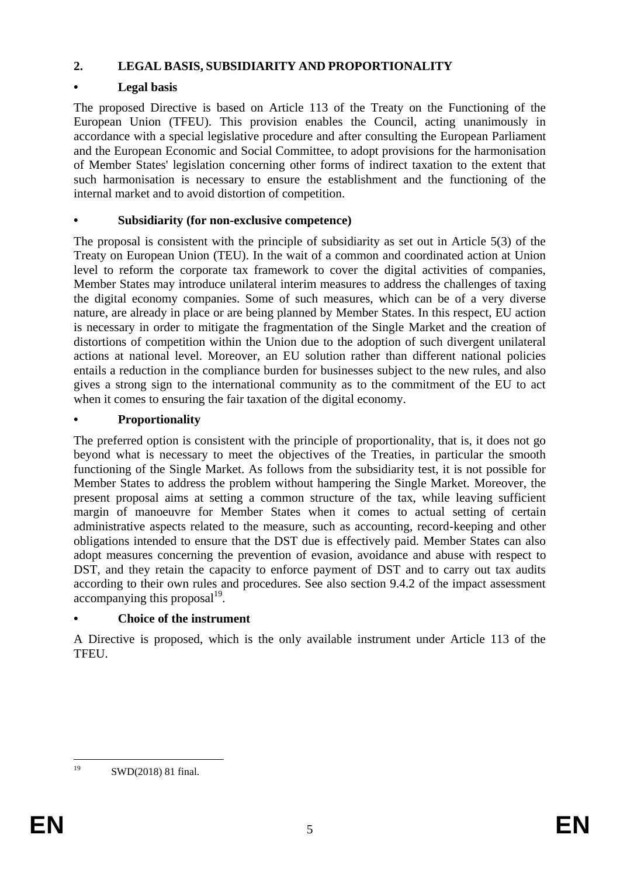## **2. LEGAL BASIS, SUBSIDIARITY AND PROPORTIONALITY**

## **• Legal basis**

The proposed Directive is based on Article 113 of the Treaty on the Functioning of the European Union (TFEU). This provision enables the Council, acting unanimously in accordance with a special legislative procedure and after consulting the European Parliament and the European Economic and Social Committee, to adopt provisions for the harmonisation of Member States' legislation concerning other forms of indirect taxation to the extent that such harmonisation is necessary to ensure the establishment and the functioning of the internal market and to avoid distortion of competition.

## **• Subsidiarity (for non-exclusive competence)**

The proposal is consistent with the principle of subsidiarity as set out in Article 5(3) of the Treaty on European Union (TEU). In the wait of a common and coordinated action at Union level to reform the corporate tax framework to cover the digital activities of companies, Member States may introduce unilateral interim measures to address the challenges of taxing the digital economy companies. Some of such measures, which can be of a very diverse nature, are already in place or are being planned by Member States. In this respect, EU action is necessary in order to mitigate the fragmentation of the Single Market and the creation of distortions of competition within the Union due to the adoption of such divergent unilateral actions at national level. Moreover, an EU solution rather than different national policies entails a reduction in the compliance burden for businesses subject to the new rules, and also gives a strong sign to the international community as to the commitment of the EU to act when it comes to ensuring the fair taxation of the digital economy.

## **• Proportionality**

The preferred option is consistent with the principle of proportionality, that is, it does not go beyond what is necessary to meet the objectives of the Treaties, in particular the smooth functioning of the Single Market. As follows from the subsidiarity test, it is not possible for Member States to address the problem without hampering the Single Market. Moreover, the present proposal aims at setting a common structure of the tax, while leaving sufficient margin of manoeuvre for Member States when it comes to actual setting of certain administrative aspects related to the measure, such as accounting, record-keeping and other obligations intended to ensure that the DST due is effectively paid. Member States can also adopt measures concerning the prevention of evasion, avoidance and abuse with respect to DST, and they retain the capacity to enforce payment of DST and to carry out tax audits according to their own rules and procedures. See also section 9.4.2 of the impact assessment  $\alpha$ ccompanying this proposal $^{19}$ .

## **• Choice of the instrument**

A Directive is proposed, which is the only available instrument under Article 113 of the TFEU.

<sup>19</sup> SWD(2018) 81 final.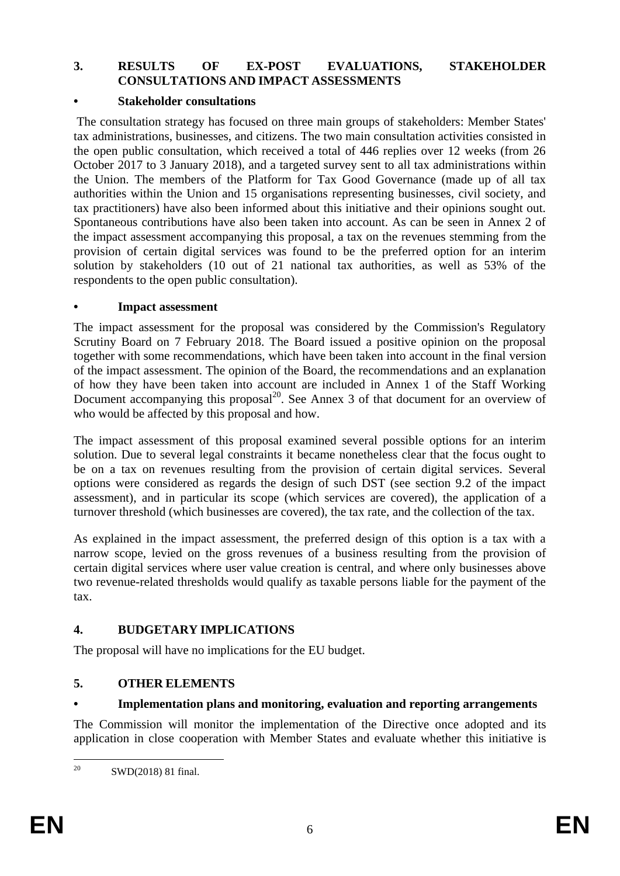### **3. RESULTS OF EX-POST EVALUATIONS, STAKEHOLDER CONSULTATIONS AND IMPACT ASSESSMENTS**

### **• Stakeholder consultations**

The consultation strategy has focused on three main groups of stakeholders: Member States' tax administrations, businesses, and citizens. The two main consultation activities consisted in the open public consultation, which received a total of 446 replies over 12 weeks (from 26 October 2017 to 3 January 2018), and a targeted survey sent to all tax administrations within the Union. The members of the Platform for Tax Good Governance (made up of all tax authorities within the Union and 15 organisations representing businesses, civil society, and tax practitioners) have also been informed about this initiative and their opinions sought out. Spontaneous contributions have also been taken into account. As can be seen in Annex 2 of the impact assessment accompanying this proposal, a tax on the revenues stemming from the provision of certain digital services was found to be the preferred option for an interim solution by stakeholders (10 out of 21 national tax authorities, as well as 53% of the respondents to the open public consultation).

### **• Impact assessment**

The impact assessment for the proposal was considered by the Commission's Regulatory Scrutiny Board on 7 February 2018. The Board issued a positive opinion on the proposal together with some recommendations, which have been taken into account in the final version of the impact assessment. The opinion of the Board, the recommendations and an explanation of how they have been taken into account are included in Annex 1 of the Staff Working Document accompanying this proposal<sup>20</sup>. See Annex 3 of that document for an overview of who would be affected by this proposal and how.

The impact assessment of this proposal examined several possible options for an interim solution. Due to several legal constraints it became nonetheless clear that the focus ought to be on a tax on revenues resulting from the provision of certain digital services. Several options were considered as regards the design of such DST (see section 9.2 of the impact assessment), and in particular its scope (which services are covered), the application of a turnover threshold (which businesses are covered), the tax rate, and the collection of the tax.

As explained in the impact assessment, the preferred design of this option is a tax with a narrow scope, levied on the gross revenues of a business resulting from the provision of certain digital services where user value creation is central, and where only businesses above two revenue-related thresholds would qualify as taxable persons liable for the payment of the tax.

### **4. BUDGETARY IMPLICATIONS**

The proposal will have no implications for the EU budget.

### **5. OTHER ELEMENTS**

### **• Implementation plans and monitoring, evaluation and reporting arrangements**

The Commission will monitor the implementation of the Directive once adopted and its application in close cooperation with Member States and evaluate whether this initiative is

<sup>20</sup> SWD(2018) 81 final.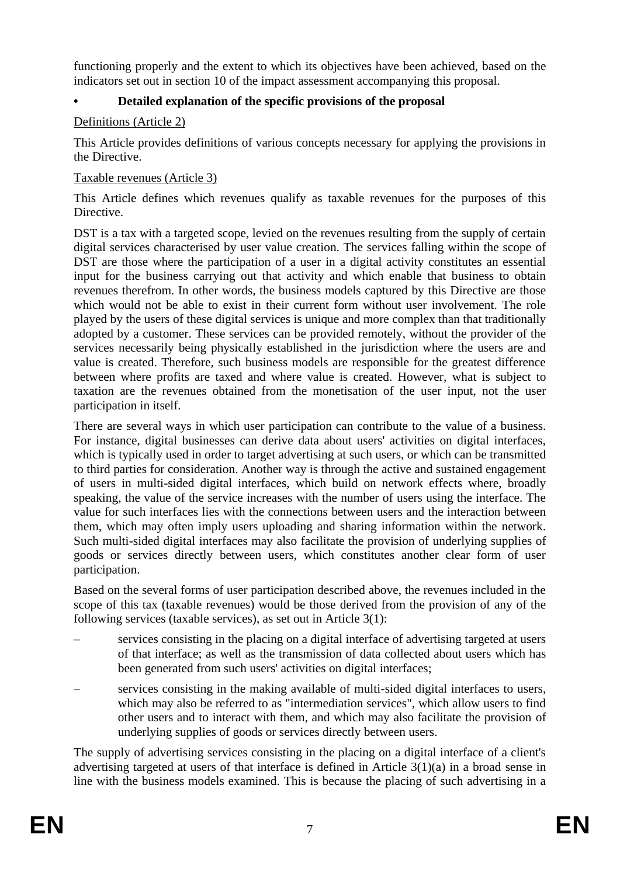functioning properly and the extent to which its objectives have been achieved, based on the indicators set out in section 10 of the impact assessment accompanying this proposal.

## **• Detailed explanation of the specific provisions of the proposal**

### Definitions (Article 2)

This Article provides definitions of various concepts necessary for applying the provisions in the Directive.

### Taxable revenues (Article 3)

This Article defines which revenues qualify as taxable revenues for the purposes of this Directive.

DST is a tax with a targeted scope, levied on the revenues resulting from the supply of certain digital services characterised by user value creation. The services falling within the scope of DST are those where the participation of a user in a digital activity constitutes an essential input for the business carrying out that activity and which enable that business to obtain revenues therefrom. In other words, the business models captured by this Directive are those which would not be able to exist in their current form without user involvement. The role played by the users of these digital services is unique and more complex than that traditionally adopted by a customer. These services can be provided remotely, without the provider of the services necessarily being physically established in the jurisdiction where the users are and value is created. Therefore, such business models are responsible for the greatest difference between where profits are taxed and where value is created. However, what is subject to taxation are the revenues obtained from the monetisation of the user input, not the user participation in itself.

There are several ways in which user participation can contribute to the value of a business. For instance, digital businesses can derive data about users' activities on digital interfaces, which is typically used in order to target advertising at such users, or which can be transmitted to third parties for consideration. Another way is through the active and sustained engagement of users in multi-sided digital interfaces, which build on network effects where, broadly speaking, the value of the service increases with the number of users using the interface. The value for such interfaces lies with the connections between users and the interaction between them, which may often imply users uploading and sharing information within the network. Such multi-sided digital interfaces may also facilitate the provision of underlying supplies of goods or services directly between users, which constitutes another clear form of user participation.

Based on the several forms of user participation described above, the revenues included in the scope of this tax (taxable revenues) would be those derived from the provision of any of the following services (taxable services), as set out in Article 3(1):

- services consisting in the placing on a digital interface of advertising targeted at users of that interface; as well as the transmission of data collected about users which has been generated from such users' activities on digital interfaces;
- services consisting in the making available of multi-sided digital interfaces to users, which may also be referred to as "intermediation services", which allow users to find other users and to interact with them, and which may also facilitate the provision of underlying supplies of goods or services directly between users.

The supply of advertising services consisting in the placing on a digital interface of a client's advertising targeted at users of that interface is defined in Article 3(1)(a) in a broad sense in line with the business models examined. This is because the placing of such advertising in a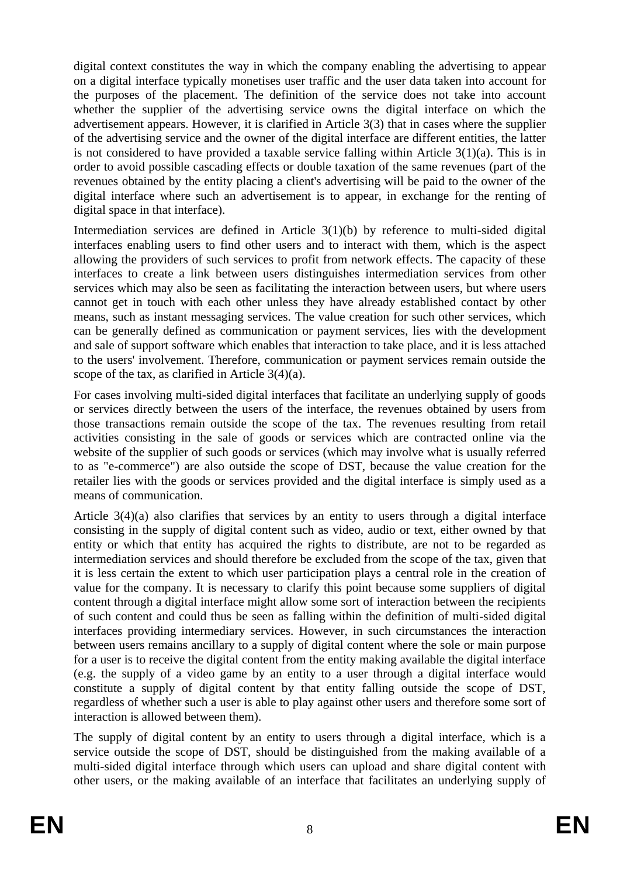digital context constitutes the way in which the company enabling the advertising to appear on a digital interface typically monetises user traffic and the user data taken into account for the purposes of the placement. The definition of the service does not take into account whether the supplier of the advertising service owns the digital interface on which the advertisement appears. However, it is clarified in Article 3(3) that in cases where the supplier of the advertising service and the owner of the digital interface are different entities, the latter is not considered to have provided a taxable service falling within Article 3(1)(a). This is in order to avoid possible cascading effects or double taxation of the same revenues (part of the revenues obtained by the entity placing a client's advertising will be paid to the owner of the digital interface where such an advertisement is to appear, in exchange for the renting of digital space in that interface).

Intermediation services are defined in Article 3(1)(b) by reference to multi-sided digital interfaces enabling users to find other users and to interact with them, which is the aspect allowing the providers of such services to profit from network effects. The capacity of these interfaces to create a link between users distinguishes intermediation services from other services which may also be seen as facilitating the interaction between users, but where users cannot get in touch with each other unless they have already established contact by other means, such as instant messaging services. The value creation for such other services, which can be generally defined as communication or payment services, lies with the development and sale of support software which enables that interaction to take place, and it is less attached to the users' involvement. Therefore, communication or payment services remain outside the scope of the tax, as clarified in Article 3(4)(a).

For cases involving multi-sided digital interfaces that facilitate an underlying supply of goods or services directly between the users of the interface, the revenues obtained by users from those transactions remain outside the scope of the tax. The revenues resulting from retail activities consisting in the sale of goods or services which are contracted online via the website of the supplier of such goods or services (which may involve what is usually referred to as "e-commerce") are also outside the scope of DST, because the value creation for the retailer lies with the goods or services provided and the digital interface is simply used as a means of communication.

Article 3(4)(a) also clarifies that services by an entity to users through a digital interface consisting in the supply of digital content such as video, audio or text, either owned by that entity or which that entity has acquired the rights to distribute, are not to be regarded as intermediation services and should therefore be excluded from the scope of the tax, given that it is less certain the extent to which user participation plays a central role in the creation of value for the company. It is necessary to clarify this point because some suppliers of digital content through a digital interface might allow some sort of interaction between the recipients of such content and could thus be seen as falling within the definition of multi-sided digital interfaces providing intermediary services. However, in such circumstances the interaction between users remains ancillary to a supply of digital content where the sole or main purpose for a user is to receive the digital content from the entity making available the digital interface (e.g. the supply of a video game by an entity to a user through a digital interface would constitute a supply of digital content by that entity falling outside the scope of DST, regardless of whether such a user is able to play against other users and therefore some sort of interaction is allowed between them).

The supply of digital content by an entity to users through a digital interface, which is a service outside the scope of DST, should be distinguished from the making available of a multi-sided digital interface through which users can upload and share digital content with other users, or the making available of an interface that facilitates an underlying supply of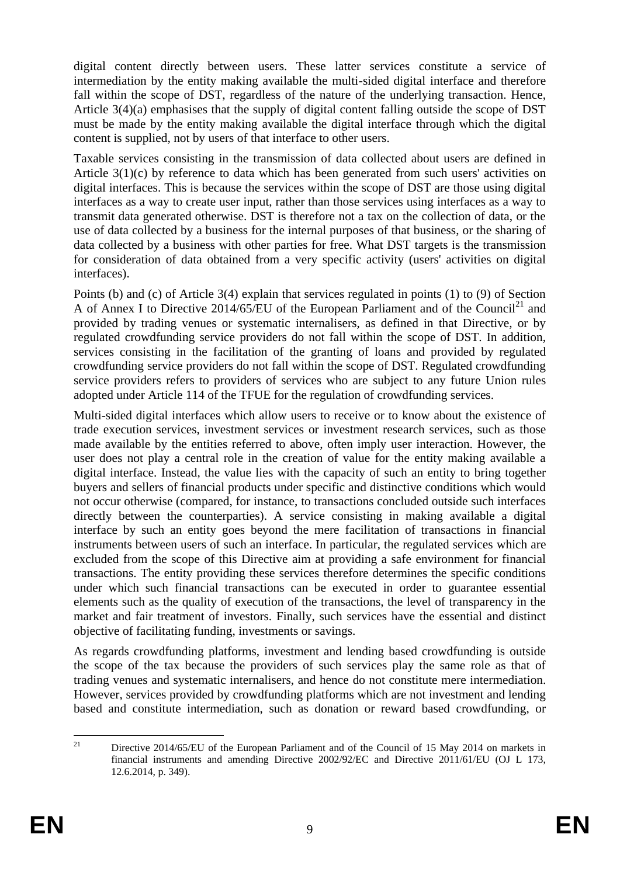digital content directly between users. These latter services constitute a service of intermediation by the entity making available the multi-sided digital interface and therefore fall within the scope of DST, regardless of the nature of the underlying transaction. Hence, Article 3(4)(a) emphasises that the supply of digital content falling outside the scope of DST must be made by the entity making available the digital interface through which the digital content is supplied, not by users of that interface to other users.

Taxable services consisting in the transmission of data collected about users are defined in Article 3(1)(c) by reference to data which has been generated from such users' activities on digital interfaces. This is because the services within the scope of DST are those using digital interfaces as a way to create user input, rather than those services using interfaces as a way to transmit data generated otherwise. DST is therefore not a tax on the collection of data, or the use of data collected by a business for the internal purposes of that business, or the sharing of data collected by a business with other parties for free. What DST targets is the transmission for consideration of data obtained from a very specific activity (users' activities on digital interfaces).

Points (b) and (c) of Article 3(4) explain that services regulated in points (1) to (9) of Section A of Annex I to Directive 2014/65/EU of the European Parliament and of the Council<sup>21</sup> and provided by trading venues or systematic internalisers, as defined in that Directive, or by regulated crowdfunding service providers do not fall within the scope of DST. In addition, services consisting in the facilitation of the granting of loans and provided by regulated crowdfunding service providers do not fall within the scope of DST. Regulated crowdfunding service providers refers to providers of services who are subject to any future Union rules adopted under Article 114 of the TFUE for the regulation of crowdfunding services.

Multi-sided digital interfaces which allow users to receive or to know about the existence of trade execution services, investment services or investment research services, such as those made available by the entities referred to above, often imply user interaction. However, the user does not play a central role in the creation of value for the entity making available a digital interface. Instead, the value lies with the capacity of such an entity to bring together buyers and sellers of financial products under specific and distinctive conditions which would not occur otherwise (compared, for instance, to transactions concluded outside such interfaces directly between the counterparties). A service consisting in making available a digital interface by such an entity goes beyond the mere facilitation of transactions in financial instruments between users of such an interface. In particular, the regulated services which are excluded from the scope of this Directive aim at providing a safe environment for financial transactions. The entity providing these services therefore determines the specific conditions under which such financial transactions can be executed in order to guarantee essential elements such as the quality of execution of the transactions, the level of transparency in the market and fair treatment of investors. Finally, such services have the essential and distinct objective of facilitating funding, investments or savings.

As regards crowdfunding platforms, investment and lending based crowdfunding is outside the scope of the tax because the providers of such services play the same role as that of trading venues and systematic internalisers, and hence do not constitute mere intermediation. However, services provided by crowdfunding platforms which are not investment and lending based and constitute intermediation, such as donation or reward based crowdfunding, or

 $21$ <sup>21</sup> Directive 2014/65/EU of the European Parliament and of the Council of 15 May 2014 on markets in financial instruments and amending Directive 2002/92/EC and Directive 2011/61/EU (OJ L 173, 12.6.2014, p. 349).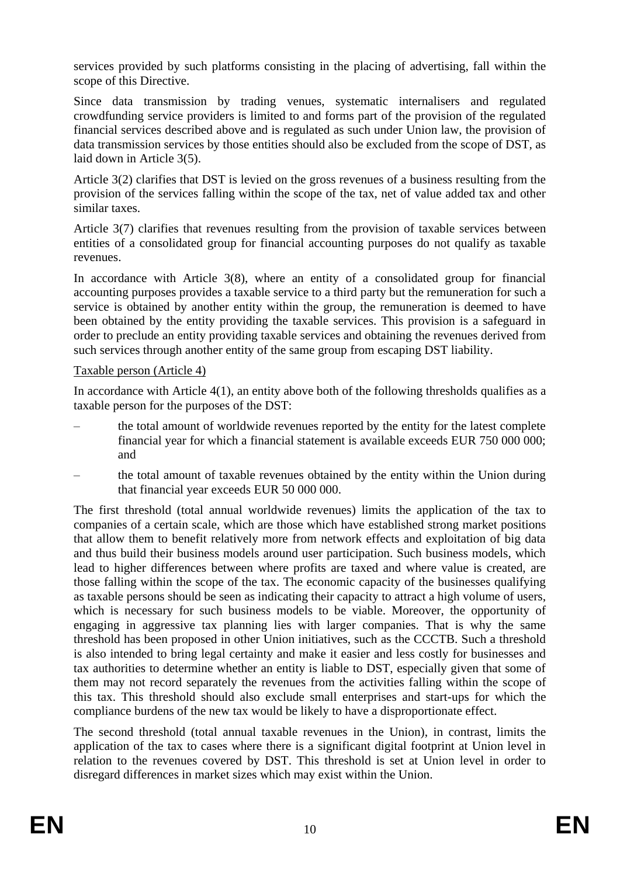services provided by such platforms consisting in the placing of advertising, fall within the scope of this Directive.

Since data transmission by trading venues, systematic internalisers and regulated crowdfunding service providers is limited to and forms part of the provision of the regulated financial services described above and is regulated as such under Union law, the provision of data transmission services by those entities should also be excluded from the scope of DST, as laid down in Article 3(5).

Article 3(2) clarifies that DST is levied on the gross revenues of a business resulting from the provision of the services falling within the scope of the tax, net of value added tax and other similar taxes.

Article 3(7) clarifies that revenues resulting from the provision of taxable services between entities of a consolidated group for financial accounting purposes do not qualify as taxable revenues.

In accordance with Article  $3(8)$ , where an entity of a consolidated group for financial accounting purposes provides a taxable service to a third party but the remuneration for such a service is obtained by another entity within the group, the remuneration is deemed to have been obtained by the entity providing the taxable services. This provision is a safeguard in order to preclude an entity providing taxable services and obtaining the revenues derived from such services through another entity of the same group from escaping DST liability.

### Taxable person (Article 4)

In accordance with Article 4(1), an entity above both of the following thresholds qualifies as a taxable person for the purposes of the DST:

- the total amount of worldwide revenues reported by the entity for the latest complete financial year for which a financial statement is available exceeds EUR 750 000 000; and
- the total amount of taxable revenues obtained by the entity within the Union during that financial year exceeds EUR 50 000 000.

The first threshold (total annual worldwide revenues) limits the application of the tax to companies of a certain scale, which are those which have established strong market positions that allow them to benefit relatively more from network effects and exploitation of big data and thus build their business models around user participation. Such business models, which lead to higher differences between where profits are taxed and where value is created, are those falling within the scope of the tax. The economic capacity of the businesses qualifying as taxable persons should be seen as indicating their capacity to attract a high volume of users, which is necessary for such business models to be viable. Moreover, the opportunity of engaging in aggressive tax planning lies with larger companies. That is why the same threshold has been proposed in other Union initiatives, such as the CCCTB. Such a threshold is also intended to bring legal certainty and make it easier and less costly for businesses and tax authorities to determine whether an entity is liable to DST, especially given that some of them may not record separately the revenues from the activities falling within the scope of this tax. This threshold should also exclude small enterprises and start-ups for which the compliance burdens of the new tax would be likely to have a disproportionate effect.

The second threshold (total annual taxable revenues in the Union), in contrast, limits the application of the tax to cases where there is a significant digital footprint at Union level in relation to the revenues covered by DST. This threshold is set at Union level in order to disregard differences in market sizes which may exist within the Union.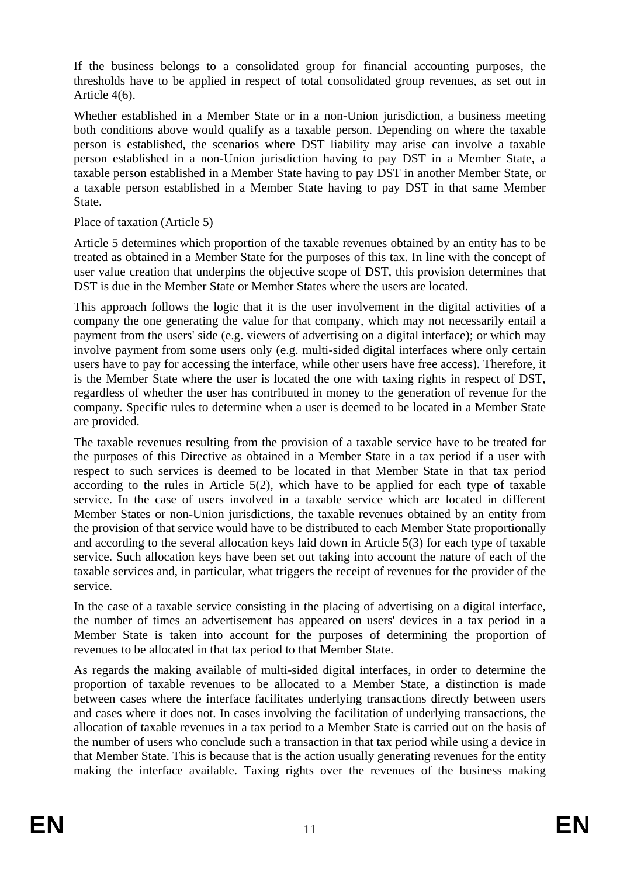If the business belongs to a consolidated group for financial accounting purposes, the thresholds have to be applied in respect of total consolidated group revenues, as set out in Article 4(6).

Whether established in a Member State or in a non-Union jurisdiction, a business meeting both conditions above would qualify as a taxable person. Depending on where the taxable person is established, the scenarios where DST liability may arise can involve a taxable person established in a non-Union jurisdiction having to pay DST in a Member State, a taxable person established in a Member State having to pay DST in another Member State, or a taxable person established in a Member State having to pay DST in that same Member State.

### Place of taxation (Article 5)

Article 5 determines which proportion of the taxable revenues obtained by an entity has to be treated as obtained in a Member State for the purposes of this tax. In line with the concept of user value creation that underpins the objective scope of DST, this provision determines that DST is due in the Member State or Member States where the users are located.

This approach follows the logic that it is the user involvement in the digital activities of a company the one generating the value for that company, which may not necessarily entail a payment from the users' side (e.g. viewers of advertising on a digital interface); or which may involve payment from some users only (e.g. multi-sided digital interfaces where only certain users have to pay for accessing the interface, while other users have free access). Therefore, it is the Member State where the user is located the one with taxing rights in respect of DST, regardless of whether the user has contributed in money to the generation of revenue for the company. Specific rules to determine when a user is deemed to be located in a Member State are provided.

The taxable revenues resulting from the provision of a taxable service have to be treated for the purposes of this Directive as obtained in a Member State in a tax period if a user with respect to such services is deemed to be located in that Member State in that tax period according to the rules in Article  $5(2)$ , which have to be applied for each type of taxable service. In the case of users involved in a taxable service which are located in different Member States or non-Union jurisdictions, the taxable revenues obtained by an entity from the provision of that service would have to be distributed to each Member State proportionally and according to the several allocation keys laid down in Article 5(3) for each type of taxable service. Such allocation keys have been set out taking into account the nature of each of the taxable services and, in particular, what triggers the receipt of revenues for the provider of the service.

In the case of a taxable service consisting in the placing of advertising on a digital interface, the number of times an advertisement has appeared on users' devices in a tax period in a Member State is taken into account for the purposes of determining the proportion of revenues to be allocated in that tax period to that Member State.

As regards the making available of multi-sided digital interfaces, in order to determine the proportion of taxable revenues to be allocated to a Member State, a distinction is made between cases where the interface facilitates underlying transactions directly between users and cases where it does not. In cases involving the facilitation of underlying transactions, the allocation of taxable revenues in a tax period to a Member State is carried out on the basis of the number of users who conclude such a transaction in that tax period while using a device in that Member State. This is because that is the action usually generating revenues for the entity making the interface available. Taxing rights over the revenues of the business making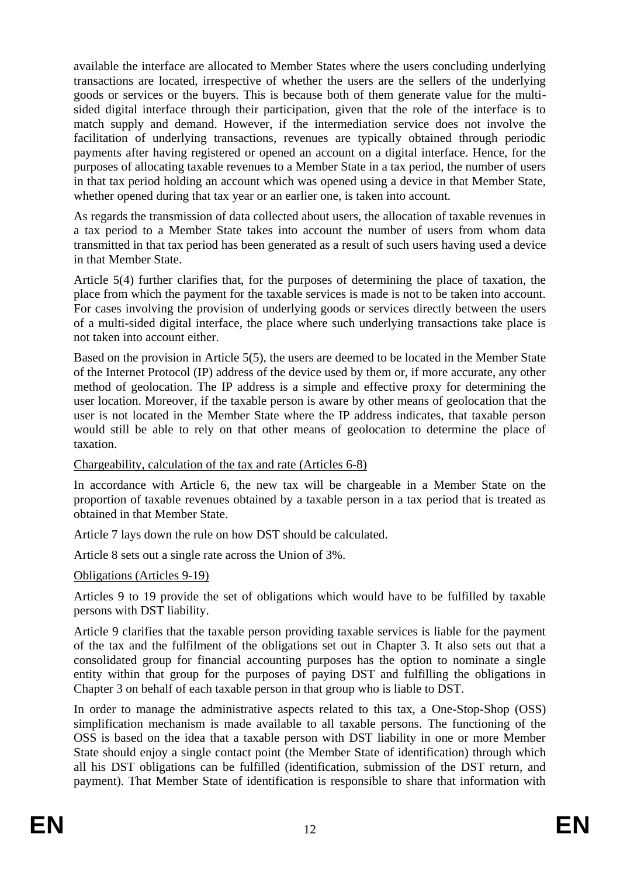available the interface are allocated to Member States where the users concluding underlying transactions are located, irrespective of whether the users are the sellers of the underlying goods or services or the buyers. This is because both of them generate value for the multisided digital interface through their participation, given that the role of the interface is to match supply and demand. However, if the intermediation service does not involve the facilitation of underlying transactions, revenues are typically obtained through periodic payments after having registered or opened an account on a digital interface. Hence, for the purposes of allocating taxable revenues to a Member State in a tax period, the number of users in that tax period holding an account which was opened using a device in that Member State, whether opened during that tax year or an earlier one, is taken into account.

As regards the transmission of data collected about users, the allocation of taxable revenues in a tax period to a Member State takes into account the number of users from whom data transmitted in that tax period has been generated as a result of such users having used a device in that Member State.

Article 5(4) further clarifies that, for the purposes of determining the place of taxation, the place from which the payment for the taxable services is made is not to be taken into account. For cases involving the provision of underlying goods or services directly between the users of a multi-sided digital interface, the place where such underlying transactions take place is not taken into account either.

Based on the provision in Article 5(5), the users are deemed to be located in the Member State of the Internet Protocol (IP) address of the device used by them or, if more accurate, any other method of geolocation. The IP address is a simple and effective proxy for determining the user location. Moreover, if the taxable person is aware by other means of geolocation that the user is not located in the Member State where the IP address indicates, that taxable person would still be able to rely on that other means of geolocation to determine the place of taxation.

### Chargeability, calculation of the tax and rate (Articles 6-8)

In accordance with Article 6, the new tax will be chargeable in a Member State on the proportion of taxable revenues obtained by a taxable person in a tax period that is treated as obtained in that Member State.

Article 7 lays down the rule on how DST should be calculated.

Article 8 sets out a single rate across the Union of 3%.

### Obligations (Articles 9-19)

Articles 9 to 19 provide the set of obligations which would have to be fulfilled by taxable persons with DST liability.

Article 9 clarifies that the taxable person providing taxable services is liable for the payment of the tax and the fulfilment of the obligations set out in Chapter 3. It also sets out that a consolidated group for financial accounting purposes has the option to nominate a single entity within that group for the purposes of paying DST and fulfilling the obligations in Chapter 3 on behalf of each taxable person in that group who is liable to DST.

In order to manage the administrative aspects related to this tax, a One-Stop-Shop (OSS) simplification mechanism is made available to all taxable persons. The functioning of the OSS is based on the idea that a taxable person with DST liability in one or more Member State should enjoy a single contact point (the Member State of identification) through which all his DST obligations can be fulfilled (identification, submission of the DST return, and payment). That Member State of identification is responsible to share that information with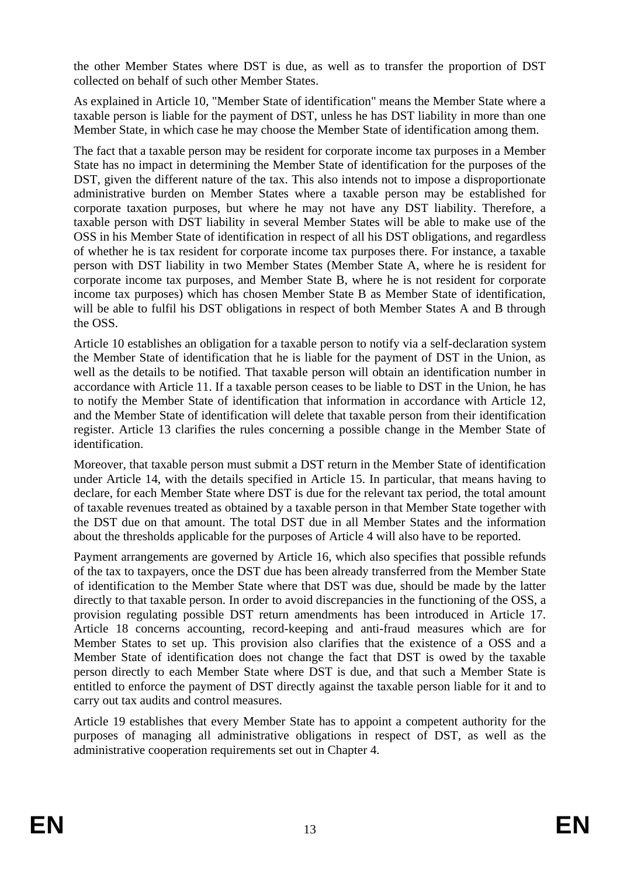the other Member States where DST is due, as well as to transfer the proportion of DST collected on behalf of such other Member States.

As explained in Article 10, "Member State of identification" means the Member State where a taxable person is liable for the payment of DST, unless he has DST liability in more than one Member State, in which case he may choose the Member State of identification among them.

The fact that a taxable person may be resident for corporate income tax purposes in a Member State has no impact in determining the Member State of identification for the purposes of the DST, given the different nature of the tax. This also intends not to impose a disproportionate administrative burden on Member States where a taxable person may be established for corporate taxation purposes, but where he may not have any DST liability. Therefore, a taxable person with DST liability in several Member States will be able to make use of the OSS in his Member State of identification in respect of all his DST obligations, and regardless of whether he is tax resident for corporate income tax purposes there. For instance, a taxable person with DST liability in two Member States (Member State A, where he is resident for corporate income tax purposes, and Member State B, where he is not resident for corporate income tax purposes) which has chosen Member State B as Member State of identification, will be able to fulfil his DST obligations in respect of both Member States A and B through the OSS.

Article 10 establishes an obligation for a taxable person to notify via a self-declaration system the Member State of identification that he is liable for the payment of DST in the Union, as well as the details to be notified. That taxable person will obtain an identification number in accordance with Article 11. If a taxable person ceases to be liable to DST in the Union, he has to notify the Member State of identification that information in accordance with Article 12, and the Member State of identification will delete that taxable person from their identification register. Article 13 clarifies the rules concerning a possible change in the Member State of identification.

Moreover, that taxable person must submit a DST return in the Member State of identification under Article 14, with the details specified in Article 15. In particular, that means having to declare, for each Member State where DST is due for the relevant tax period, the total amount of taxable revenues treated as obtained by a taxable person in that Member State together with the DST due on that amount. The total DST due in all Member States and the information about the thresholds applicable for the purposes of Article 4 will also have to be reported.

Payment arrangements are governed by Article 16, which also specifies that possible refunds of the tax to taxpayers, once the DST due has been already transferred from the Member State of identification to the Member State where that DST was due, should be made by the latter directly to that taxable person. In order to avoid discrepancies in the functioning of the OSS, a provision regulating possible DST return amendments has been introduced in Article 17. Article 18 concerns accounting, record-keeping and anti-fraud measures which are for Member States to set up. This provision also clarifies that the existence of a OSS and a Member State of identification does not change the fact that DST is owed by the taxable person directly to each Member State where DST is due, and that such a Member State is entitled to enforce the payment of DST directly against the taxable person liable for it and to carry out tax audits and control measures.

Article 19 establishes that every Member State has to appoint a competent authority for the purposes of managing all administrative obligations in respect of DST, as well as the administrative cooperation requirements set out in Chapter 4.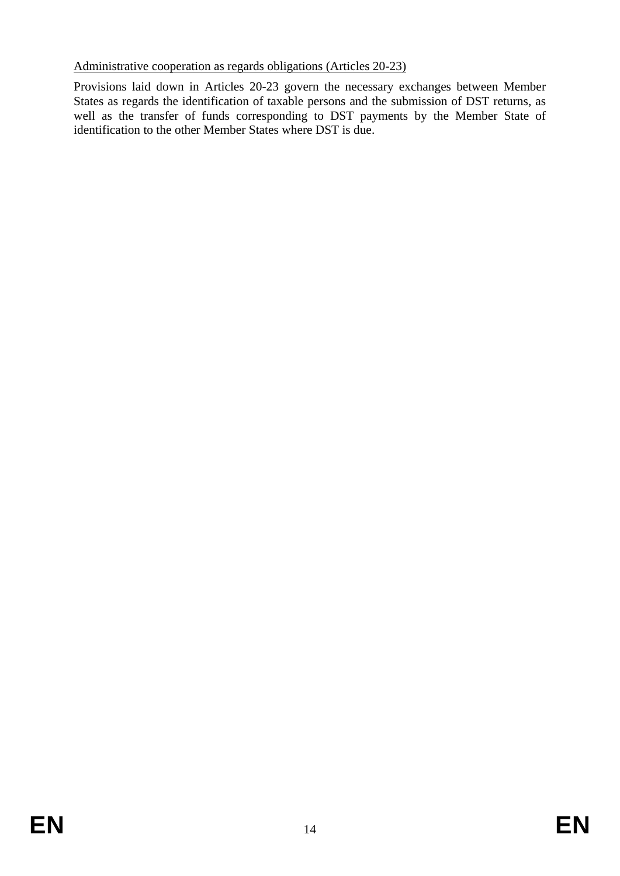### Administrative cooperation as regards obligations (Articles 20-23)

Provisions laid down in Articles 20-23 govern the necessary exchanges between Member States as regards the identification of taxable persons and the submission of DST returns, as well as the transfer of funds corresponding to DST payments by the Member State of identification to the other Member States where DST is due.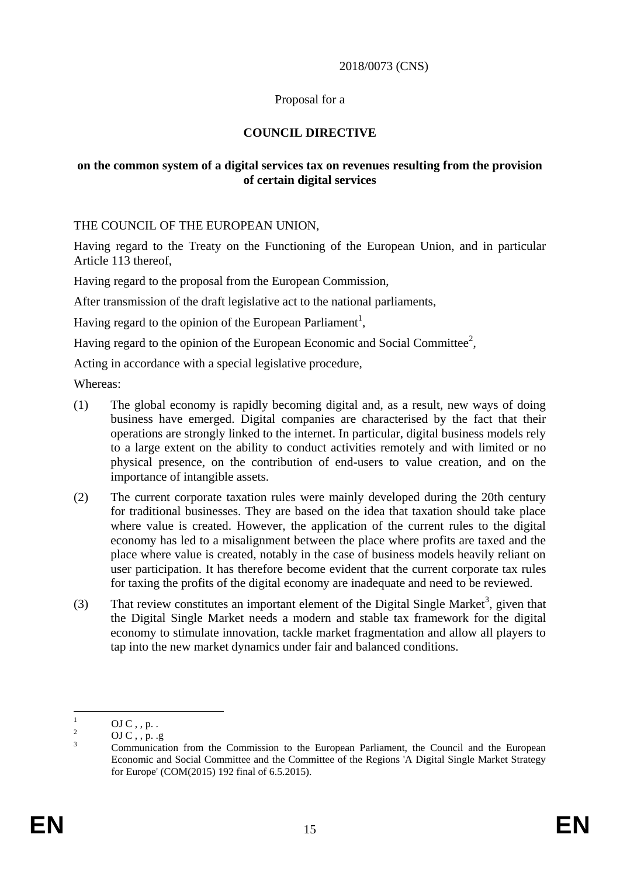### 2018/0073 (CNS)

### Proposal for a

### **COUNCIL DIRECTIVE**

### **on the common system of a digital services tax on revenues resulting from the provision of certain digital services**

THE COUNCIL OF THE EUROPEAN UNION,

Having regard to the Treaty on the Functioning of the European Union, and in particular Article 113 thereof,

Having regard to the proposal from the European Commission,

After transmission of the draft legislative act to the national parliaments,

Having regard to the opinion of the European Parliament<sup>1</sup>,

Having regard to the opinion of the European Economic and Social Committee<sup>2</sup>,

Acting in accordance with a special legislative procedure,

Whereas:

- (1) The global economy is rapidly becoming digital and, as a result, new ways of doing business have emerged. Digital companies are characterised by the fact that their operations are strongly linked to the internet. In particular, digital business models rely to a large extent on the ability to conduct activities remotely and with limited or no physical presence, on the contribution of end-users to value creation, and on the importance of intangible assets.
- (2) The current corporate taxation rules were mainly developed during the 20th century for traditional businesses. They are based on the idea that taxation should take place where value is created. However, the application of the current rules to the digital economy has led to a misalignment between the place where profits are taxed and the place where value is created, notably in the case of business models heavily reliant on user participation. It has therefore become evident that the current corporate tax rules for taxing the profits of the digital economy are inadequate and need to be reviewed.
- (3) That review constitutes an important element of the Digital Single Market<sup>3</sup>, given that the Digital Single Market needs a modern and stable tax framework for the digital economy to stimulate innovation, tackle market fragmentation and allow all players to tap into the new market dynamics under fair and balanced conditions.

 $\mathbf{1}$  $^{1}$  OJ C, , p. .

<sup>&</sup>lt;sup>2</sup> OJ C, , p. .g

<sup>&</sup>lt;sup>3</sup> Communication from the Commission to the European Parliament, the Council and the European Economic and Social Committee and the Committee of the Regions 'A Digital Single Market Strategy for Europe' (COM(2015) 192 final of 6.5.2015).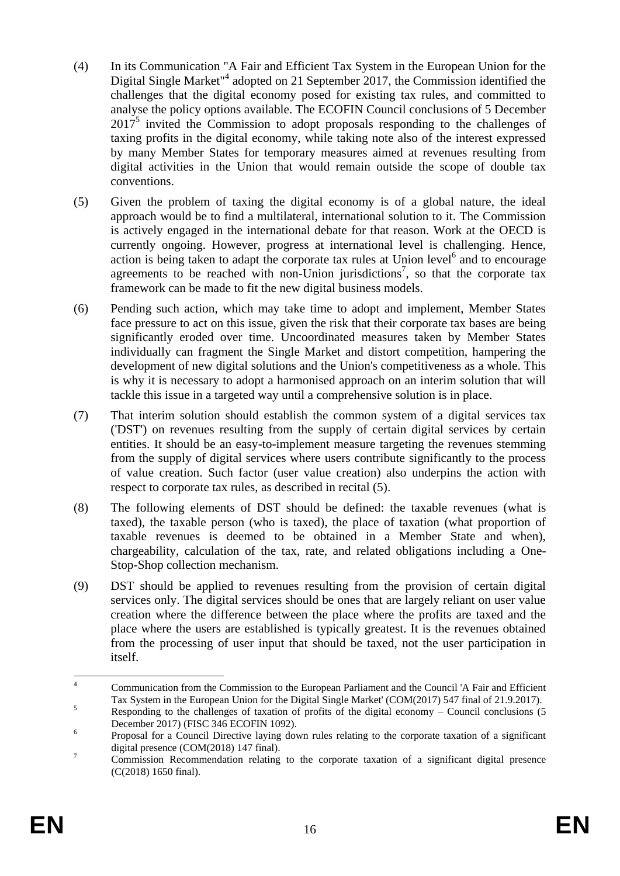- (4) In its Communication "A Fair and Efficient Tax System in the European Union for the Digital Single Market<sup>"4</sup> adopted on 21 September 2017, the Commission identified the challenges that the digital economy posed for existing tax rules, and committed to analyse the policy options available. The ECOFIN Council conclusions of 5 December  $2017<sup>5</sup>$  invited the Commission to adopt proposals responding to the challenges of taxing profits in the digital economy, while taking note also of the interest expressed by many Member States for temporary measures aimed at revenues resulting from digital activities in the Union that would remain outside the scope of double tax conventions.
- (5) Given the problem of taxing the digital economy is of a global nature, the ideal approach would be to find a multilateral, international solution to it. The Commission is actively engaged in the international debate for that reason. Work at the OECD is currently ongoing. However, progress at international level is challenging. Hence, action is being taken to adapt the corporate tax rules at Union level<sup>6</sup> and to encourage agreements to be reached with non-Union jurisdictions<sup>7</sup>, so that the corporate tax framework can be made to fit the new digital business models.
- (6) Pending such action, which may take time to adopt and implement, Member States face pressure to act on this issue, given the risk that their corporate tax bases are being significantly eroded over time. Uncoordinated measures taken by Member States individually can fragment the Single Market and distort competition, hampering the development of new digital solutions and the Union's competitiveness as a whole. This is why it is necessary to adopt a harmonised approach on an interim solution that will tackle this issue in a targeted way until a comprehensive solution is in place.
- (7) That interim solution should establish the common system of a digital services tax ('DST') on revenues resulting from the supply of certain digital services by certain entities. It should be an easy-to-implement measure targeting the revenues stemming from the supply of digital services where users contribute significantly to the process of value creation. Such factor (user value creation) also underpins the action with respect to corporate tax rules, as described in recital (5).
- (8) The following elements of DST should be defined: the taxable revenues (what is taxed), the taxable person (who is taxed), the place of taxation (what proportion of taxable revenues is deemed to be obtained in a Member State and when), chargeability, calculation of the tax, rate, and related obligations including a One-Stop-Shop collection mechanism.
- (9) DST should be applied to revenues resulting from the provision of certain digital services only. The digital services should be ones that are largely reliant on user value creation where the difference between the place where the profits are taxed and the place where the users are established is typically greatest. It is the revenues obtained from the processing of user input that should be taxed, not the user participation in itself.

 $\overline{A}$ <sup>4</sup> Communication from the Commission to the European Parliament and the Council 'A Fair and Efficient Tax System in the European Union for the Digital Single Market' (COM(2017) 547 final of 21.9.2017).

 $\frac{5}{10}$  Responding to the challenges of taxation of profits of the digital economy – Council conclusions (5) December 2017) (FISC 346 ECOFIN 1092).

<sup>6</sup> Proposal for a Council Directive laying down rules relating to the corporate taxation of a significant digital presence (COM(2018) 147 final).

<sup>&</sup>lt;sup>7</sup> Commission Recommendation relating to the corporate taxation of a significant digital presence (C(2018) 1650 final).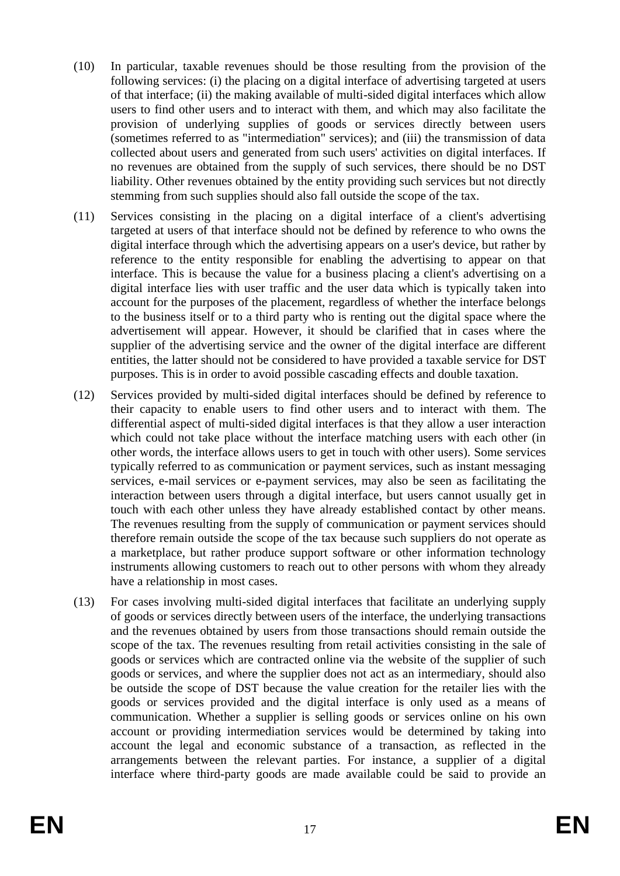- (10) In particular, taxable revenues should be those resulting from the provision of the following services: (i) the placing on a digital interface of advertising targeted at users of that interface; (ii) the making available of multi-sided digital interfaces which allow users to find other users and to interact with them, and which may also facilitate the provision of underlying supplies of goods or services directly between users (sometimes referred to as "intermediation" services); and (iii) the transmission of data collected about users and generated from such users' activities on digital interfaces. If no revenues are obtained from the supply of such services, there should be no DST liability. Other revenues obtained by the entity providing such services but not directly stemming from such supplies should also fall outside the scope of the tax.
- (11) Services consisting in the placing on a digital interface of a client's advertising targeted at users of that interface should not be defined by reference to who owns the digital interface through which the advertising appears on a user's device, but rather by reference to the entity responsible for enabling the advertising to appear on that interface. This is because the value for a business placing a client's advertising on a digital interface lies with user traffic and the user data which is typically taken into account for the purposes of the placement, regardless of whether the interface belongs to the business itself or to a third party who is renting out the digital space where the advertisement will appear. However, it should be clarified that in cases where the supplier of the advertising service and the owner of the digital interface are different entities, the latter should not be considered to have provided a taxable service for DST purposes. This is in order to avoid possible cascading effects and double taxation.
- (12) Services provided by multi-sided digital interfaces should be defined by reference to their capacity to enable users to find other users and to interact with them. The differential aspect of multi-sided digital interfaces is that they allow a user interaction which could not take place without the interface matching users with each other (in other words, the interface allows users to get in touch with other users). Some services typically referred to as communication or payment services, such as instant messaging services, e-mail services or e-payment services, may also be seen as facilitating the interaction between users through a digital interface, but users cannot usually get in touch with each other unless they have already established contact by other means. The revenues resulting from the supply of communication or payment services should therefore remain outside the scope of the tax because such suppliers do not operate as a marketplace, but rather produce support software or other information technology instruments allowing customers to reach out to other persons with whom they already have a relationship in most cases.
- (13) For cases involving multi-sided digital interfaces that facilitate an underlying supply of goods or services directly between users of the interface, the underlying transactions and the revenues obtained by users from those transactions should remain outside the scope of the tax. The revenues resulting from retail activities consisting in the sale of goods or services which are contracted online via the website of the supplier of such goods or services, and where the supplier does not act as an intermediary, should also be outside the scope of DST because the value creation for the retailer lies with the goods or services provided and the digital interface is only used as a means of communication. Whether a supplier is selling goods or services online on his own account or providing intermediation services would be determined by taking into account the legal and economic substance of a transaction, as reflected in the arrangements between the relevant parties. For instance, a supplier of a digital interface where third-party goods are made available could be said to provide an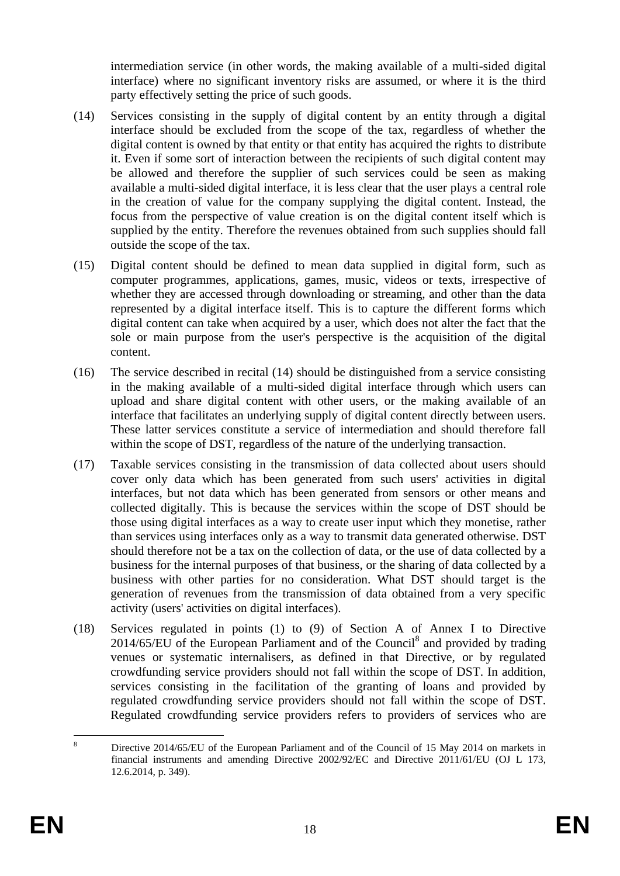intermediation service (in other words, the making available of a multi-sided digital interface) where no significant inventory risks are assumed, or where it is the third party effectively setting the price of such goods.

- (14) Services consisting in the supply of digital content by an entity through a digital interface should be excluded from the scope of the tax, regardless of whether the digital content is owned by that entity or that entity has acquired the rights to distribute it. Even if some sort of interaction between the recipients of such digital content may be allowed and therefore the supplier of such services could be seen as making available a multi-sided digital interface, it is less clear that the user plays a central role in the creation of value for the company supplying the digital content. Instead, the focus from the perspective of value creation is on the digital content itself which is supplied by the entity. Therefore the revenues obtained from such supplies should fall outside the scope of the tax.
- (15) Digital content should be defined to mean data supplied in digital form, such as computer programmes, applications, games, music, videos or texts, irrespective of whether they are accessed through downloading or streaming, and other than the data represented by a digital interface itself. This is to capture the different forms which digital content can take when acquired by a user, which does not alter the fact that the sole or main purpose from the user's perspective is the acquisition of the digital content.
- (16) The service described in recital (14) should be distinguished from a service consisting in the making available of a multi-sided digital interface through which users can upload and share digital content with other users, or the making available of an interface that facilitates an underlying supply of digital content directly between users. These latter services constitute a service of intermediation and should therefore fall within the scope of DST, regardless of the nature of the underlying transaction.
- (17) Taxable services consisting in the transmission of data collected about users should cover only data which has been generated from such users' activities in digital interfaces, but not data which has been generated from sensors or other means and collected digitally. This is because the services within the scope of DST should be those using digital interfaces as a way to create user input which they monetise, rather than services using interfaces only as a way to transmit data generated otherwise. DST should therefore not be a tax on the collection of data, or the use of data collected by a business for the internal purposes of that business, or the sharing of data collected by a business with other parties for no consideration. What DST should target is the generation of revenues from the transmission of data obtained from a very specific activity (users' activities on digital interfaces).
- (18) Services regulated in points (1) to (9) of Section A of Annex I to Directive  $2014/65/EU$  of the European Parliament and of the Council<sup>8</sup> and provided by trading venues or systematic internalisers, as defined in that Directive, or by regulated crowdfunding service providers should not fall within the scope of DST. In addition, services consisting in the facilitation of the granting of loans and provided by regulated crowdfunding service providers should not fall within the scope of DST. Regulated crowdfunding service providers refers to providers of services who are

 $\overline{\mathbf{x}}$ <sup>8</sup> Directive 2014/65/EU of the European Parliament and of the Council of 15 May 2014 on markets in financial instruments and amending Directive 2002/92/EC and Directive 2011/61/EU (OJ L 173, 12.6.2014, p. 349).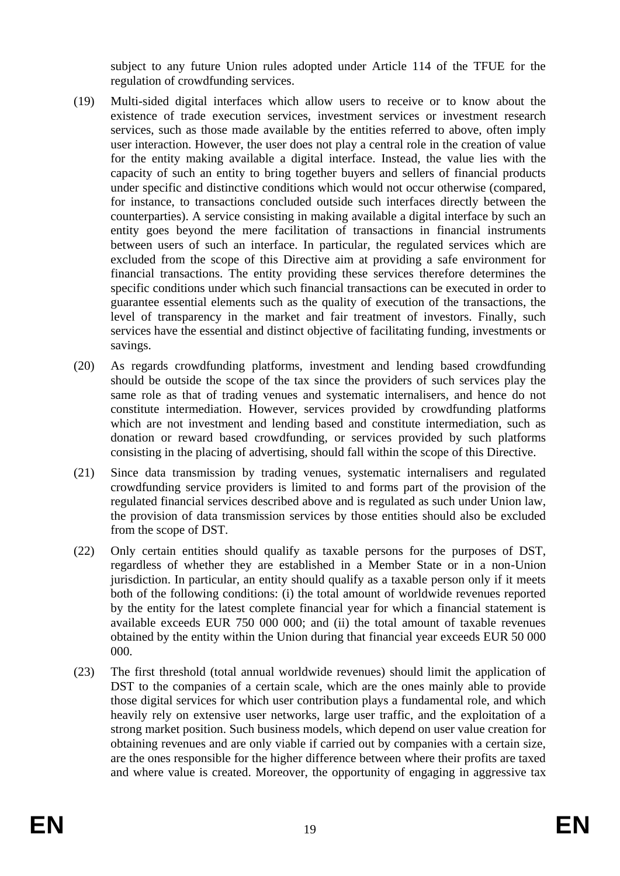subject to any future Union rules adopted under Article 114 of the TFUE for the regulation of crowdfunding services.

- (19) Multi-sided digital interfaces which allow users to receive or to know about the existence of trade execution services, investment services or investment research services, such as those made available by the entities referred to above, often imply user interaction. However, the user does not play a central role in the creation of value for the entity making available a digital interface. Instead, the value lies with the capacity of such an entity to bring together buyers and sellers of financial products under specific and distinctive conditions which would not occur otherwise (compared, for instance, to transactions concluded outside such interfaces directly between the counterparties). A service consisting in making available a digital interface by such an entity goes beyond the mere facilitation of transactions in financial instruments between users of such an interface. In particular, the regulated services which are excluded from the scope of this Directive aim at providing a safe environment for financial transactions. The entity providing these services therefore determines the specific conditions under which such financial transactions can be executed in order to guarantee essential elements such as the quality of execution of the transactions, the level of transparency in the market and fair treatment of investors. Finally, such services have the essential and distinct objective of facilitating funding, investments or savings.
- (20) As regards crowdfunding platforms, investment and lending based crowdfunding should be outside the scope of the tax since the providers of such services play the same role as that of trading venues and systematic internalisers, and hence do not constitute intermediation. However, services provided by crowdfunding platforms which are not investment and lending based and constitute intermediation, such as donation or reward based crowdfunding, or services provided by such platforms consisting in the placing of advertising, should fall within the scope of this Directive.
- (21) Since data transmission by trading venues, systematic internalisers and regulated crowdfunding service providers is limited to and forms part of the provision of the regulated financial services described above and is regulated as such under Union law, the provision of data transmission services by those entities should also be excluded from the scope of DST.
- (22) Only certain entities should qualify as taxable persons for the purposes of DST, regardless of whether they are established in a Member State or in a non-Union jurisdiction. In particular, an entity should qualify as a taxable person only if it meets both of the following conditions: (i) the total amount of worldwide revenues reported by the entity for the latest complete financial year for which a financial statement is available exceeds EUR 750 000 000; and (ii) the total amount of taxable revenues obtained by the entity within the Union during that financial year exceeds EUR 50 000 000.
- (23) The first threshold (total annual worldwide revenues) should limit the application of DST to the companies of a certain scale, which are the ones mainly able to provide those digital services for which user contribution plays a fundamental role, and which heavily rely on extensive user networks, large user traffic, and the exploitation of a strong market position. Such business models, which depend on user value creation for obtaining revenues and are only viable if carried out by companies with a certain size, are the ones responsible for the higher difference between where their profits are taxed and where value is created. Moreover, the opportunity of engaging in aggressive tax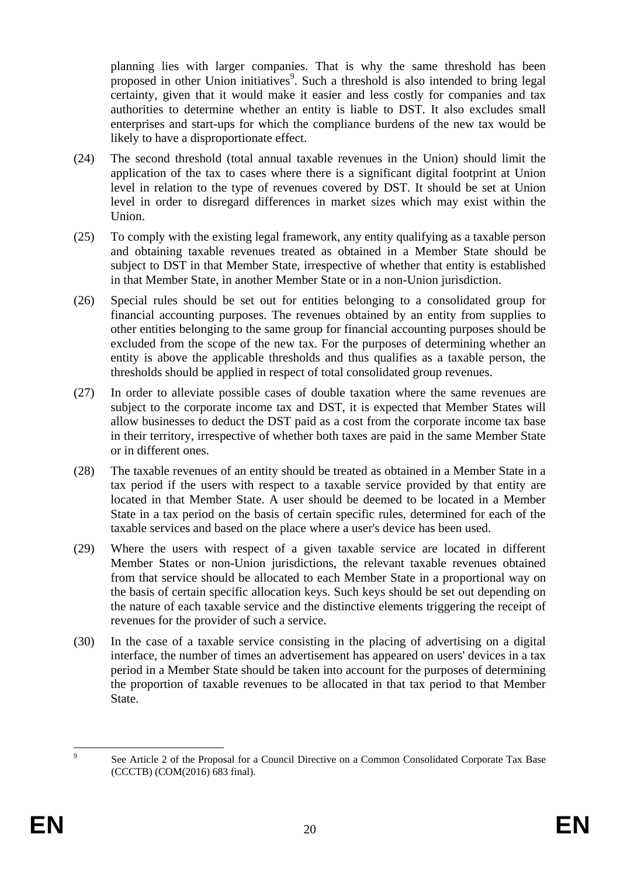planning lies with larger companies. That is why the same threshold has been proposed in other Union initiatives<sup>9</sup>. Such a threshold is also intended to bring legal certainty, given that it would make it easier and less costly for companies and tax authorities to determine whether an entity is liable to DST. It also excludes small enterprises and start-ups for which the compliance burdens of the new tax would be likely to have a disproportionate effect.

- (24) The second threshold (total annual taxable revenues in the Union) should limit the application of the tax to cases where there is a significant digital footprint at Union level in relation to the type of revenues covered by DST. It should be set at Union level in order to disregard differences in market sizes which may exist within the Union.
- (25) To comply with the existing legal framework, any entity qualifying as a taxable person and obtaining taxable revenues treated as obtained in a Member State should be subject to DST in that Member State, irrespective of whether that entity is established in that Member State, in another Member State or in a non-Union jurisdiction.
- (26) Special rules should be set out for entities belonging to a consolidated group for financial accounting purposes. The revenues obtained by an entity from supplies to other entities belonging to the same group for financial accounting purposes should be excluded from the scope of the new tax. For the purposes of determining whether an entity is above the applicable thresholds and thus qualifies as a taxable person, the thresholds should be applied in respect of total consolidated group revenues.
- (27) In order to alleviate possible cases of double taxation where the same revenues are subject to the corporate income tax and DST, it is expected that Member States will allow businesses to deduct the DST paid as a cost from the corporate income tax base in their territory, irrespective of whether both taxes are paid in the same Member State or in different ones.
- (28) The taxable revenues of an entity should be treated as obtained in a Member State in a tax period if the users with respect to a taxable service provided by that entity are located in that Member State. A user should be deemed to be located in a Member State in a tax period on the basis of certain specific rules, determined for each of the taxable services and based on the place where a user's device has been used.
- (29) Where the users with respect of a given taxable service are located in different Member States or non-Union jurisdictions, the relevant taxable revenues obtained from that service should be allocated to each Member State in a proportional way on the basis of certain specific allocation keys. Such keys should be set out depending on the nature of each taxable service and the distinctive elements triggering the receipt of revenues for the provider of such a service.
- (30) In the case of a taxable service consisting in the placing of advertising on a digital interface, the number of times an advertisement has appeared on users' devices in a tax period in a Member State should be taken into account for the purposes of determining the proportion of taxable revenues to be allocated in that tax period to that Member State.

<sup>–&</sup>lt;br>9 See Article 2 of the Proposal for a Council Directive on a Common Consolidated Corporate Tax Base (CCCTB) (COM(2016) 683 final).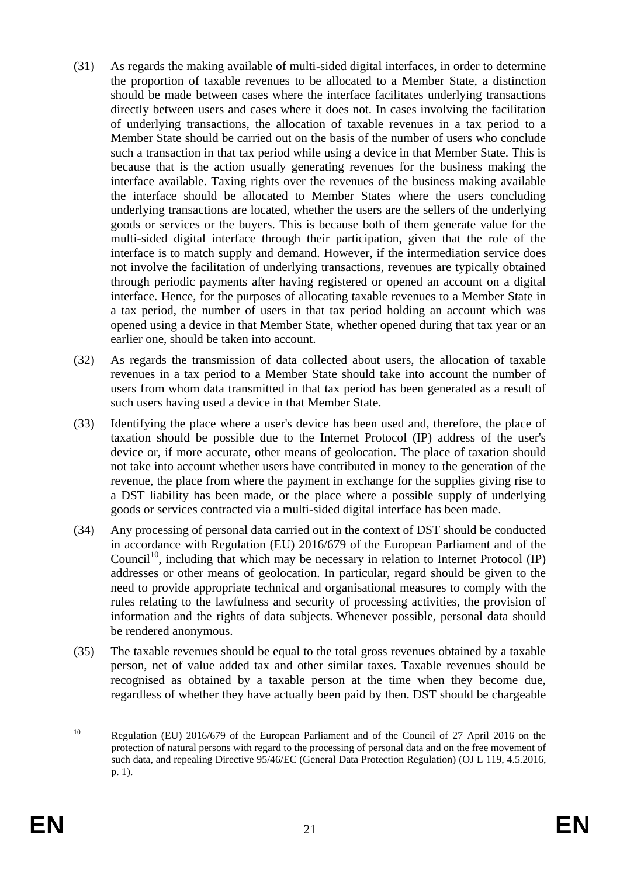- (31) As regards the making available of multi-sided digital interfaces, in order to determine the proportion of taxable revenues to be allocated to a Member State, a distinction should be made between cases where the interface facilitates underlying transactions directly between users and cases where it does not. In cases involving the facilitation of underlying transactions, the allocation of taxable revenues in a tax period to a Member State should be carried out on the basis of the number of users who conclude such a transaction in that tax period while using a device in that Member State. This is because that is the action usually generating revenues for the business making the interface available. Taxing rights over the revenues of the business making available the interface should be allocated to Member States where the users concluding underlying transactions are located, whether the users are the sellers of the underlying goods or services or the buyers. This is because both of them generate value for the multi-sided digital interface through their participation, given that the role of the interface is to match supply and demand. However, if the intermediation service does not involve the facilitation of underlying transactions, revenues are typically obtained through periodic payments after having registered or opened an account on a digital interface. Hence, for the purposes of allocating taxable revenues to a Member State in a tax period, the number of users in that tax period holding an account which was opened using a device in that Member State, whether opened during that tax year or an earlier one, should be taken into account.
- (32) As regards the transmission of data collected about users, the allocation of taxable revenues in a tax period to a Member State should take into account the number of users from whom data transmitted in that tax period has been generated as a result of such users having used a device in that Member State.
- (33) Identifying the place where a user's device has been used and, therefore, the place of taxation should be possible due to the Internet Protocol (IP) address of the user's device or, if more accurate, other means of geolocation. The place of taxation should not take into account whether users have contributed in money to the generation of the revenue, the place from where the payment in exchange for the supplies giving rise to a DST liability has been made, or the place where a possible supply of underlying goods or services contracted via a multi-sided digital interface has been made.
- (34) Any processing of personal data carried out in the context of DST should be conducted in accordance with Regulation (EU) 2016/679 of the European Parliament and of the Council<sup>10</sup>, including that which may be necessary in relation to Internet Protocol (IP) addresses or other means of geolocation. In particular, regard should be given to the need to provide appropriate technical and organisational measures to comply with the rules relating to the lawfulness and security of processing activities, the provision of information and the rights of data subjects. Whenever possible, personal data should be rendered anonymous.
- (35) The taxable revenues should be equal to the total gross revenues obtained by a taxable person, net of value added tax and other similar taxes. Taxable revenues should be recognised as obtained by a taxable person at the time when they become due, regardless of whether they have actually been paid by then. DST should be chargeable

 $10<sup>1</sup>$ Regulation (EU) 2016/679 of the European Parliament and of the Council of 27 April 2016 on the [protection of natural persons with regard to the processing of personal data and on the free movement of](http://eur-lex.europa.eu/legal-content/AUTO/?uri=CELEX:32016R0679&qid=1518715944604&rid=1)  [such data, and repealing Directive 95/46/EC \(General Data Protection Regulation\) \(](http://eur-lex.europa.eu/legal-content/AUTO/?uri=CELEX:32016R0679&qid=1518715944604&rid=1)OJ L 119, 4.5.2016, p. 1).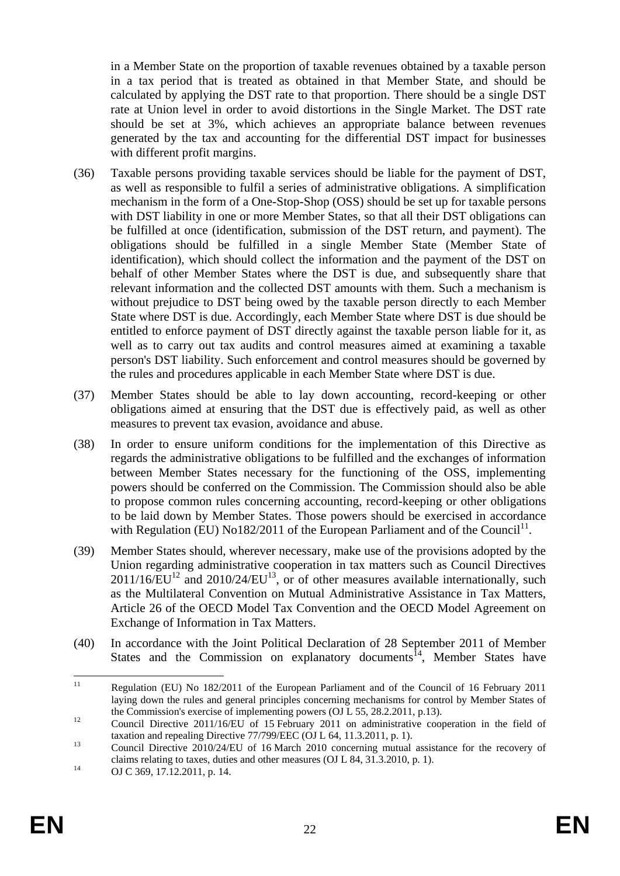in a Member State on the proportion of taxable revenues obtained by a taxable person in a tax period that is treated as obtained in that Member State, and should be calculated by applying the DST rate to that proportion. There should be a single DST rate at Union level in order to avoid distortions in the Single Market. The DST rate should be set at 3%, which achieves an appropriate balance between revenues generated by the tax and accounting for the differential DST impact for businesses with different profit margins.

- (36) Taxable persons providing taxable services should be liable for the payment of DST, as well as responsible to fulfil a series of administrative obligations. A simplification mechanism in the form of a One-Stop-Shop (OSS) should be set up for taxable persons with DST liability in one or more Member States, so that all their DST obligations can be fulfilled at once (identification, submission of the DST return, and payment). The obligations should be fulfilled in a single Member State (Member State of identification), which should collect the information and the payment of the DST on behalf of other Member States where the DST is due, and subsequently share that relevant information and the collected DST amounts with them. Such a mechanism is without prejudice to DST being owed by the taxable person directly to each Member State where DST is due. Accordingly, each Member State where DST is due should be entitled to enforce payment of DST directly against the taxable person liable for it, as well as to carry out tax audits and control measures aimed at examining a taxable person's DST liability. Such enforcement and control measures should be governed by the rules and procedures applicable in each Member State where DST is due.
- (37) Member States should be able to lay down accounting, record-keeping or other obligations aimed at ensuring that the DST due is effectively paid, as well as other measures to prevent tax evasion, avoidance and abuse.
- (38) In order to ensure uniform conditions for the implementation of this Directive as regards the administrative obligations to be fulfilled and the exchanges of information between Member States necessary for the functioning of the OSS, implementing powers should be conferred on the Commission. The Commission should also be able to propose common rules concerning accounting, record-keeping or other obligations to be laid down by Member States. Those powers should be exercised in accordance with Regulation (EU) No182/2011 of the European Parliament and of the Council<sup>11</sup>.
- (39) Member States should, wherever necessary, make use of the provisions adopted by the Union regarding administrative cooperation in tax matters such as Council Directives  $2011/16/EU<sup>12</sup>$  and  $2010/24/EU<sup>13</sup>$ , or of other measures available internationally, such as the Multilateral Convention on Mutual Administrative Assistance in Tax Matters, Article 26 of the OECD Model Tax Convention and the OECD Model Agreement on Exchange of Information in Tax Matters.
- (40) In accordance with the Joint Political Declaration of 28 September 2011 of Member States and the Commission on explanatory documents<sup>14</sup>, Member States have

 $11<sup>1</sup>$ <sup>11</sup> Regulation (EU) No 182/2011 of the European Parliament and of the Council of 16 February 2011 laying down the rules and general principles concerning mechanisms for control by Member States of the Commission's exercise of implementing powers (OJ L 55, 28.2.2011, p.13).

<sup>&</sup>lt;sup>12</sup> Council Directive 2011/16/EU of 15 February 2011 on administrative cooperation in the field of [taxation and repealing Directive 77/799/EEC](http://eur-lex.europa.eu/legal-content/AUTO/?uri=CELEX:32011L0016&qid=1518720826938&rid=1) (OJ L 64, 11.3.2011, p. 1).

<sup>&</sup>lt;sup>13</sup> Council Directive 2010/24/EU of 16 March 2010 concerning mutual assistance for the recovery of [claims relating to taxes, duties and other measures](http://eur-lex.europa.eu/legal-content/AUTO/?uri=CELEX:32010L0024&qid=1518720911384&rid=1) (OJ L 84, 31.3.2010, p. 1).

<sup>14</sup> OJ C 369, 17.12.2011, p. 14.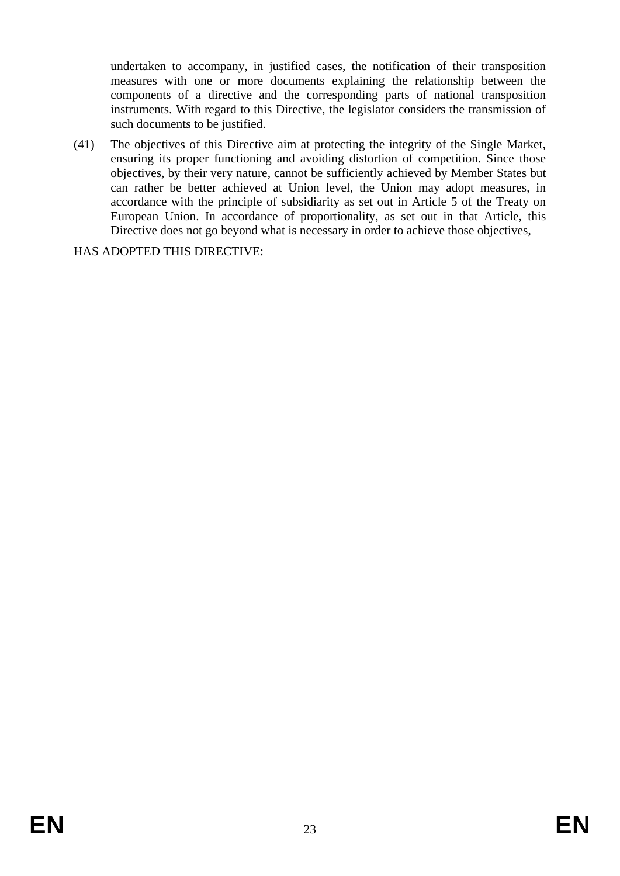undertaken to accompany, in justified cases, the notification of their transposition measures with one or more documents explaining the relationship between the components of a directive and the corresponding parts of national transposition instruments. With regard to this Directive, the legislator considers the transmission of such documents to be justified.

(41) The objectives of this Directive aim at protecting the integrity of the Single Market, ensuring its proper functioning and avoiding distortion of competition. Since those objectives, by their very nature, cannot be sufficiently achieved by Member States but can rather be better achieved at Union level, the Union may adopt measures, in accordance with the principle of subsidiarity as set out in Article 5 of the Treaty on European Union. In accordance of proportionality, as set out in that Article, this Directive does not go beyond what is necessary in order to achieve those objectives,

HAS ADOPTED THIS DIRECTIVE: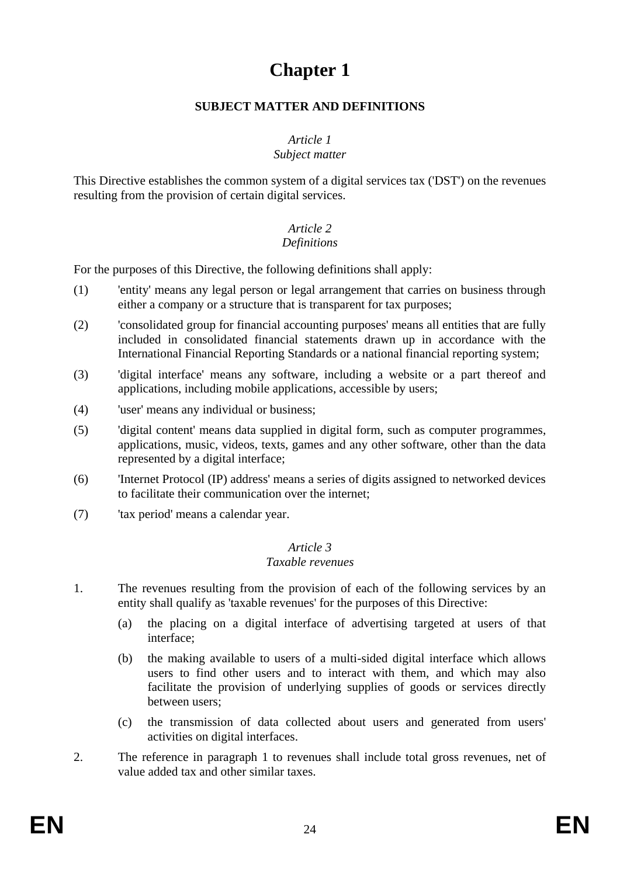# **Chapter 1**

### **SUBJECT MATTER AND DEFINITIONS**

## *Article 1*

## *Subject matter*

This Directive establishes the common system of a digital services tax ('DST') on the revenues resulting from the provision of certain digital services.

#### *Article 2 Definitions*

For the purposes of this Directive, the following definitions shall apply:

- (1) 'entity' means any legal person or legal arrangement that carries on business through either a company or a structure that is transparent for tax purposes;
- (2) 'consolidated group for financial accounting purposes' means all entities that are fully included in consolidated financial statements drawn up in accordance with the International Financial Reporting Standards or a national financial reporting system;
- (3) 'digital interface' means any software, including a website or a part thereof and applications, including mobile applications, accessible by users;
- (4) 'user' means any individual or business;
- (5) 'digital content' means data supplied in digital form, such as computer programmes, applications, music, videos, texts, games and any other software, other than the data represented by a digital interface;
- (6) 'Internet Protocol (IP) address' means a series of digits assigned to networked devices to facilitate their communication over the internet;
- (7) 'tax period' means a calendar year.

## *Article 3*

### *Taxable revenues*

- 1. The revenues resulting from the provision of each of the following services by an entity shall qualify as 'taxable revenues' for the purposes of this Directive:
	- (a) the placing on a digital interface of advertising targeted at users of that interface;
	- (b) the making available to users of a multi-sided digital interface which allows users to find other users and to interact with them, and which may also facilitate the provision of underlying supplies of goods or services directly between users;
	- (c) the transmission of data collected about users and generated from users' activities on digital interfaces.
- 2. The reference in paragraph 1 to revenues shall include total gross revenues, net of value added tax and other similar taxes.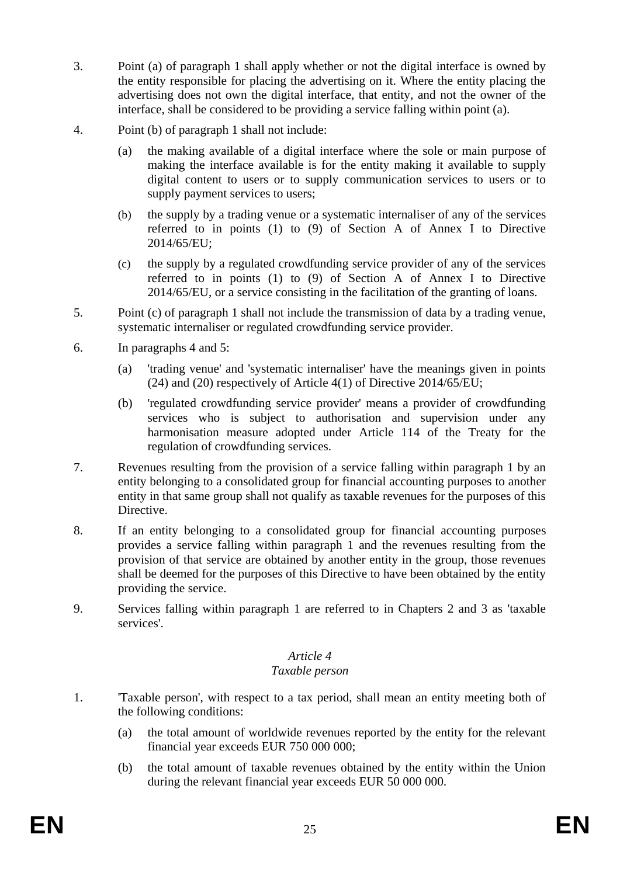- 3. Point (a) of paragraph 1 shall apply whether or not the digital interface is owned by the entity responsible for placing the advertising on it. Where the entity placing the advertising does not own the digital interface, that entity, and not the owner of the interface, shall be considered to be providing a service falling within point (a).
- 4. Point (b) of paragraph 1 shall not include:
	- (a) the making available of a digital interface where the sole or main purpose of making the interface available is for the entity making it available to supply digital content to users or to supply communication services to users or to supply payment services to users;
	- (b) the supply by a trading venue or a systematic internaliser of any of the services referred to in points (1) to (9) of Section A of Annex I to Directive 2014/65/EU;
	- (c) the supply by a regulated crowdfunding service provider of any of the services referred to in points (1) to (9) of Section A of Annex I to Directive 2014/65/EU, or a service consisting in the facilitation of the granting of loans.
- 5. Point (c) of paragraph 1 shall not include the transmission of data by a trading venue, systematic internaliser or regulated crowdfunding service provider.
- 6. In paragraphs 4 and 5:
	- (a) 'trading venue' and 'systematic internaliser' have the meanings given in points (24) and (20) respectively of Article 4(1) of Directive 2014/65/EU;
	- (b) 'regulated crowdfunding service provider' means a provider of crowdfunding services who is subject to authorisation and supervision under any harmonisation measure adopted under Article 114 of the Treaty for the regulation of crowdfunding services.
- 7. Revenues resulting from the provision of a service falling within paragraph 1 by an entity belonging to a consolidated group for financial accounting purposes to another entity in that same group shall not qualify as taxable revenues for the purposes of this Directive.
- 8. If an entity belonging to a consolidated group for financial accounting purposes provides a service falling within paragraph 1 and the revenues resulting from the provision of that service are obtained by another entity in the group, those revenues shall be deemed for the purposes of this Directive to have been obtained by the entity providing the service.
- 9. Services falling within paragraph 1 are referred to in Chapters 2 and 3 as 'taxable services'.

## *Article 4*

### *Taxable person*

- 1. 'Taxable person', with respect to a tax period, shall mean an entity meeting both of the following conditions:
	- (a) the total amount of worldwide revenues reported by the entity for the relevant financial year exceeds EUR 750 000 000;
	- (b) the total amount of taxable revenues obtained by the entity within the Union during the relevant financial year exceeds EUR 50 000 000.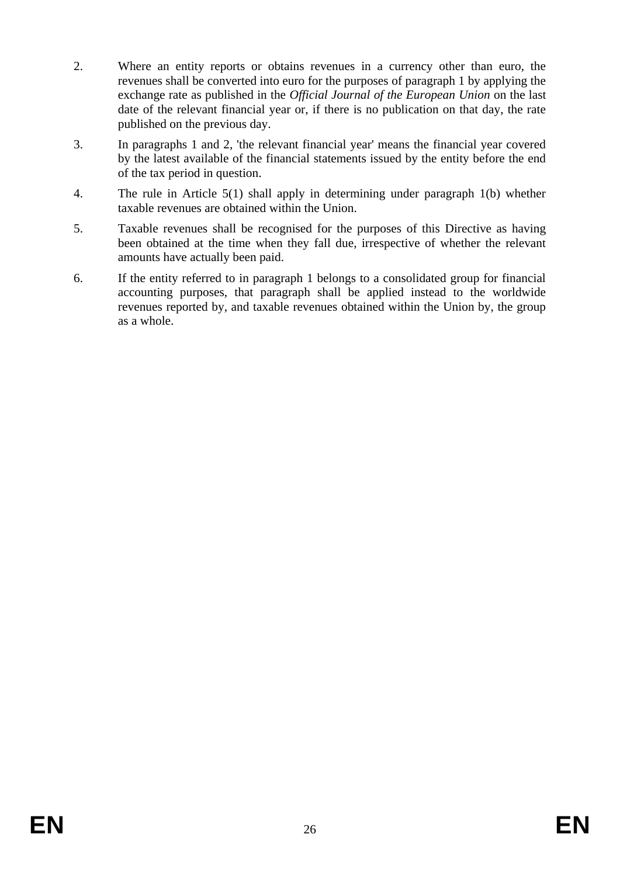- 2. Where an entity reports or obtains revenues in a currency other than euro, the revenues shall be converted into euro for the purposes of paragraph 1 by applying the exchange rate as published in the *Official Journal of the European Union* on the last date of the relevant financial year or, if there is no publication on that day, the rate published on the previous day.
- 3. In paragraphs 1 and 2, 'the relevant financial year' means the financial year covered by the latest available of the financial statements issued by the entity before the end of the tax period in question.
- 4. The rule in Article 5(1) shall apply in determining under paragraph 1(b) whether taxable revenues are obtained within the Union.
- 5. Taxable revenues shall be recognised for the purposes of this Directive as having been obtained at the time when they fall due, irrespective of whether the relevant amounts have actually been paid.
- 6. If the entity referred to in paragraph 1 belongs to a consolidated group for financial accounting purposes, that paragraph shall be applied instead to the worldwide revenues reported by, and taxable revenues obtained within the Union by, the group as a whole.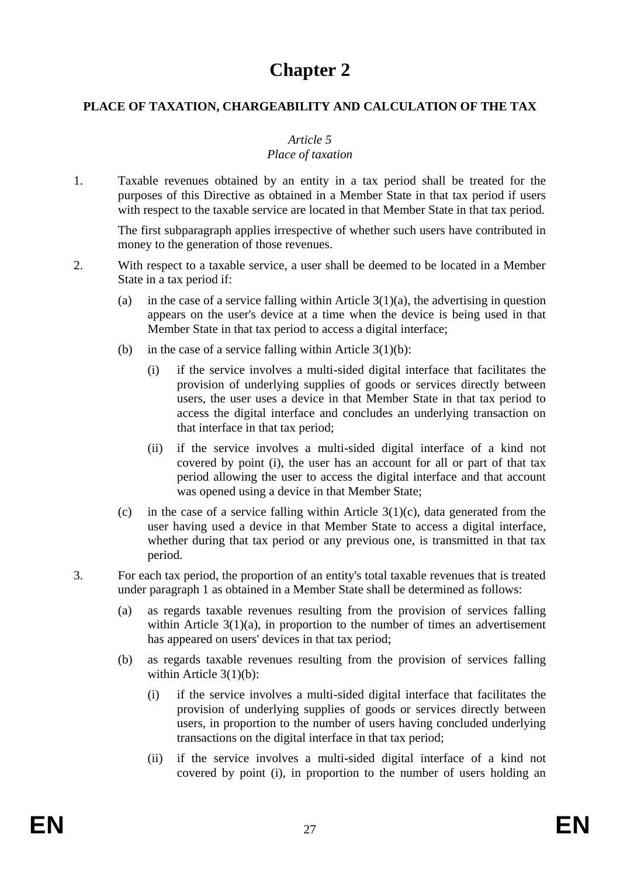## **Chapter 2**

### **PLACE OF TAXATION, CHARGEABILITY AND CALCULATION OF THE TAX**

### *Article 5*

### *Place of taxation*

1. Taxable revenues obtained by an entity in a tax period shall be treated for the purposes of this Directive as obtained in a Member State in that tax period if users with respect to the taxable service are located in that Member State in that tax period.

The first subparagraph applies irrespective of whether such users have contributed in money to the generation of those revenues.

- 2. With respect to a taxable service, a user shall be deemed to be located in a Member State in a tax period if:
	- (a) in the case of a service falling within Article  $3(1)(a)$ , the advertising in question appears on the user's device at a time when the device is being used in that Member State in that tax period to access a digital interface;
	- (b) in the case of a service falling within Article  $3(1)(b)$ :
		- (i) if the service involves a multi-sided digital interface that facilitates the provision of underlying supplies of goods or services directly between users, the user uses a device in that Member State in that tax period to access the digital interface and concludes an underlying transaction on that interface in that tax period;
		- (ii) if the service involves a multi-sided digital interface of a kind not covered by point (i), the user has an account for all or part of that tax period allowing the user to access the digital interface and that account was opened using a device in that Member State;
	- (c) in the case of a service falling within Article  $3(1)(c)$ , data generated from the user having used a device in that Member State to access a digital interface, whether during that tax period or any previous one, is transmitted in that tax period.
- 3. For each tax period, the proportion of an entity's total taxable revenues that is treated under paragraph 1 as obtained in a Member State shall be determined as follows:
	- (a) as regards taxable revenues resulting from the provision of services falling within Article  $3(1)(a)$ , in proportion to the number of times an advertisement has appeared on users' devices in that tax period;
	- (b) as regards taxable revenues resulting from the provision of services falling within Article 3(1)(b):
		- (i) if the service involves a multi-sided digital interface that facilitates the provision of underlying supplies of goods or services directly between users, in proportion to the number of users having concluded underlying transactions on the digital interface in that tax period;
		- (ii) if the service involves a multi-sided digital interface of a kind not covered by point (i), in proportion to the number of users holding an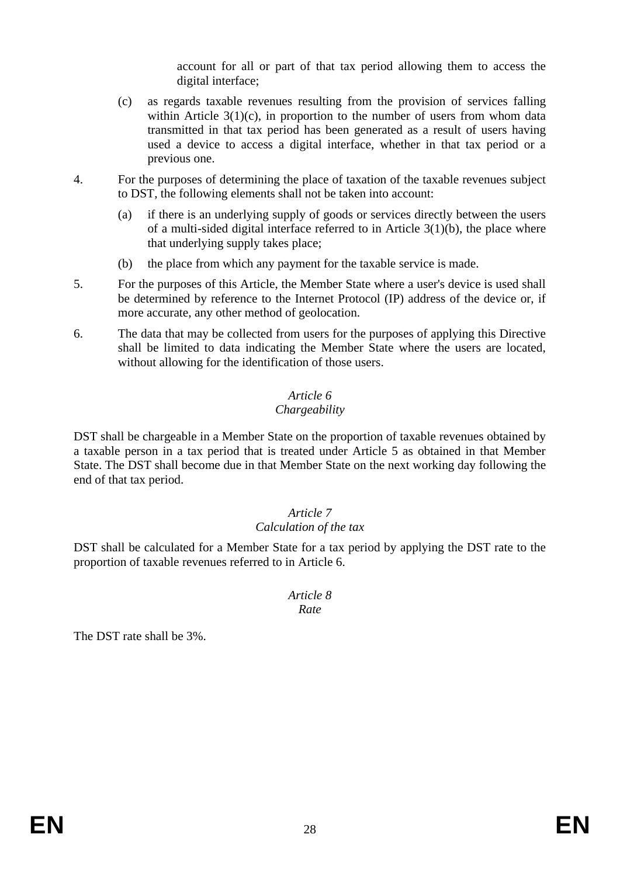account for all or part of that tax period allowing them to access the digital interface;

- (c) as regards taxable revenues resulting from the provision of services falling within Article  $3(1)(c)$ , in proportion to the number of users from whom data transmitted in that tax period has been generated as a result of users having used a device to access a digital interface, whether in that tax period or a previous one.
- 4. For the purposes of determining the place of taxation of the taxable revenues subject to DST, the following elements shall not be taken into account:
	- (a) if there is an underlying supply of goods or services directly between the users of a multi-sided digital interface referred to in Article 3(1)(b), the place where that underlying supply takes place;
	- (b) the place from which any payment for the taxable service is made.
- 5. For the purposes of this Article, the Member State where a user's device is used shall be determined by reference to the Internet Protocol (IP) address of the device or, if more accurate, any other method of geolocation.
- 6. The data that may be collected from users for the purposes of applying this Directive shall be limited to data indicating the Member State where the users are located, without allowing for the identification of those users.

### *Article 6*

### *Chargeability*

DST shall be chargeable in a Member State on the proportion of taxable revenues obtained by a taxable person in a tax period that is treated under Article 5 as obtained in that Member State. The DST shall become due in that Member State on the next working day following the end of that tax period.

### *Article 7 Calculation of the tax*

DST shall be calculated for a Member State for a tax period by applying the DST rate to the proportion of taxable revenues referred to in Article 6.

### *Article 8 Rate*

The DST rate shall be 3%.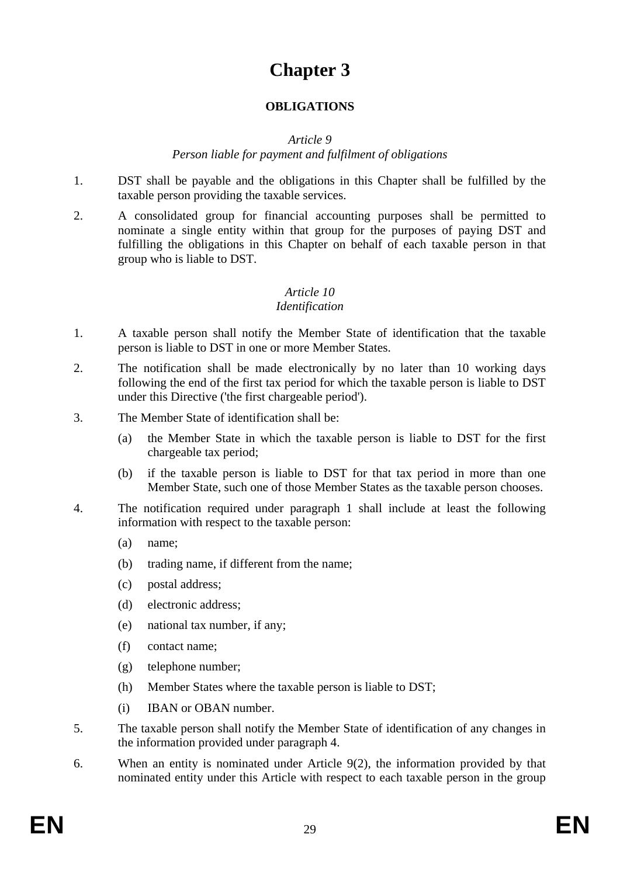## **Chapter 3**

## **OBLIGATIONS**

### *Article 9*

### *Person liable for payment and fulfilment of obligations*

- 1. DST shall be payable and the obligations in this Chapter shall be fulfilled by the taxable person providing the taxable services.
- 2. A consolidated group for financial accounting purposes shall be permitted to nominate a single entity within that group for the purposes of paying DST and fulfilling the obligations in this Chapter on behalf of each taxable person in that group who is liable to DST.

### *Article 10*

### *Identification*

- 1. A taxable person shall notify the Member State of identification that the taxable person is liable to DST in one or more Member States.
- 2. The notification shall be made electronically by no later than 10 working days following the end of the first tax period for which the taxable person is liable to DST under this Directive ('the first chargeable period').
- 3. The Member State of identification shall be:
	- (a) the Member State in which the taxable person is liable to DST for the first chargeable tax period;
	- (b) if the taxable person is liable to DST for that tax period in more than one Member State, such one of those Member States as the taxable person chooses.
- 4. The notification required under paragraph 1 shall include at least the following information with respect to the taxable person:
	- (a) name;
	- (b) trading name, if different from the name;
	- (c) postal address;
	- (d) electronic address;
	- (e) national tax number, if any;
	- (f) contact name;
	- (g) telephone number;
	- (h) Member States where the taxable person is liable to DST;
	- (i) IBAN or OBAN number.
- 5. The taxable person shall notify the Member State of identification of any changes in the information provided under paragraph 4.
- 6. When an entity is nominated under Article 9(2), the information provided by that nominated entity under this Article with respect to each taxable person in the group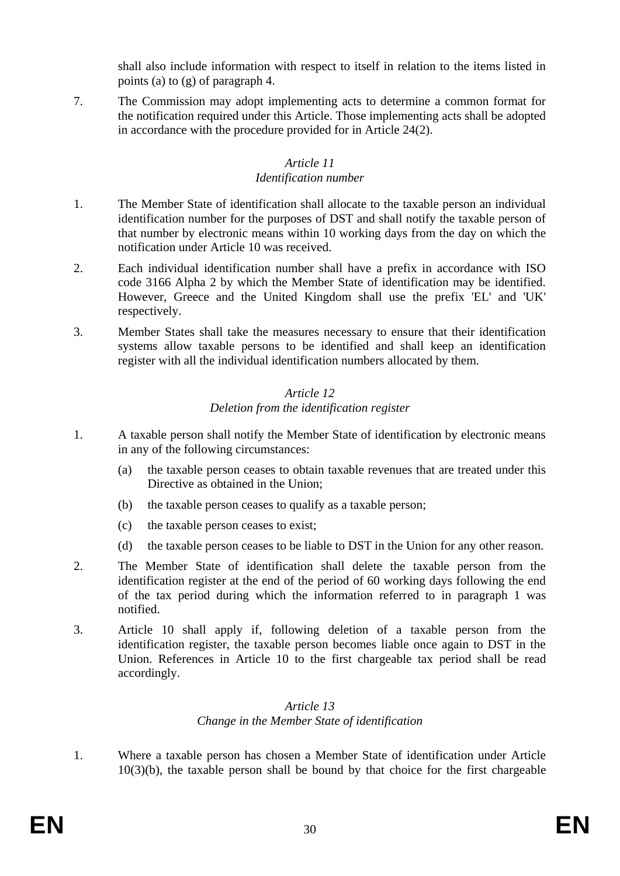shall also include information with respect to itself in relation to the items listed in points (a) to (g) of paragraph 4.

7. The Commission may adopt implementing acts to determine a common format for the notification required under this Article. Those implementing acts shall be adopted in accordance with the procedure provided for in Article 24(2).

### *Article 11 Identification number*

- 1. The Member State of identification shall allocate to the taxable person an individual identification number for the purposes of DST and shall notify the taxable person of that number by electronic means within 10 working days from the day on which the notification under Article 10 was received.
- 2. Each individual identification number shall have a prefix in accordance with ISO code 3166 Alpha 2 by which the Member State of identification may be identified. However, Greece and the United Kingdom shall use the prefix 'EL' and 'UK' respectively.
- 3. Member States shall take the measures necessary to ensure that their identification systems allow taxable persons to be identified and shall keep an identification register with all the individual identification numbers allocated by them.

### *Article 12 Deletion from the identification register*

- 1. A taxable person shall notify the Member State of identification by electronic means in any of the following circumstances:
	- (a) the taxable person ceases to obtain taxable revenues that are treated under this Directive as obtained in the Union;
	- (b) the taxable person ceases to qualify as a taxable person;
	- (c) the taxable person ceases to exist;
	- (d) the taxable person ceases to be liable to DST in the Union for any other reason.
- 2. The Member State of identification shall delete the taxable person from the identification register at the end of the period of 60 working days following the end of the tax period during which the information referred to in paragraph 1 was notified.
- 3. Article 10 shall apply if, following deletion of a taxable person from the identification register, the taxable person becomes liable once again to DST in the Union. References in Article 10 to the first chargeable tax period shall be read accordingly.

### *Article 13 Change in the Member State of identification*

1. Where a taxable person has chosen a Member State of identification under Article 10(3)(b), the taxable person shall be bound by that choice for the first chargeable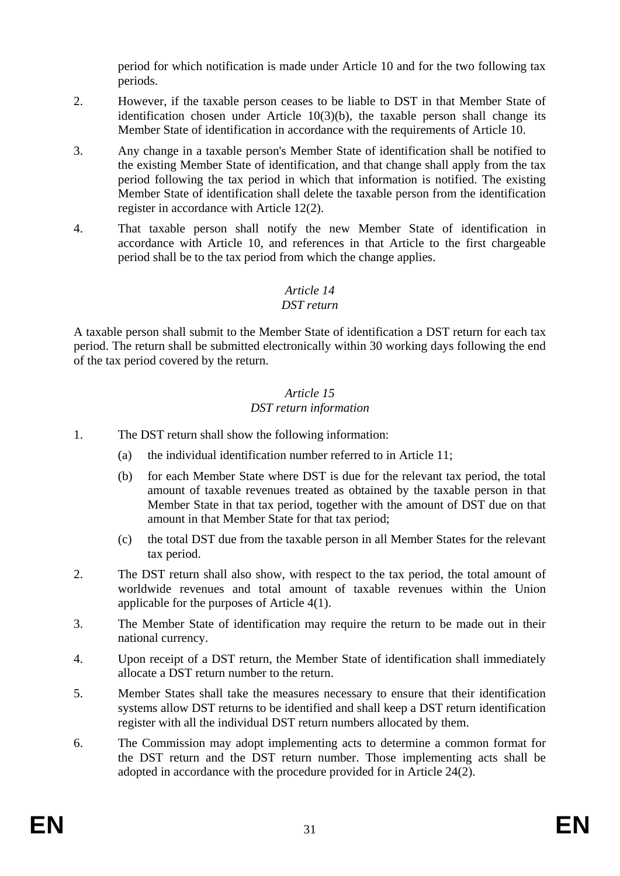period for which notification is made under Article 10 and for the two following tax periods.

- 2. However, if the taxable person ceases to be liable to DST in that Member State of identification chosen under Article  $10(3)(b)$ , the taxable person shall change its Member State of identification in accordance with the requirements of Article 10.
- 3. Any change in a taxable person's Member State of identification shall be notified to the existing Member State of identification, and that change shall apply from the tax period following the tax period in which that information is notified. The existing Member State of identification shall delete the taxable person from the identification register in accordance with Article 12(2).
- 4. That taxable person shall notify the new Member State of identification in accordance with Article 10, and references in that Article to the first chargeable period shall be to the tax period from which the change applies.

## *Article 14*

## *DST return*

A taxable person shall submit to the Member State of identification a DST return for each tax period. The return shall be submitted electronically within 30 working days following the end of the tax period covered by the return.

### *Article 15 DST return information*

- 1. The DST return shall show the following information:
	- (a) the individual identification number referred to in Article 11;
	- (b) for each Member State where DST is due for the relevant tax period, the total amount of taxable revenues treated as obtained by the taxable person in that Member State in that tax period, together with the amount of DST due on that amount in that Member State for that tax period;
	- (c) the total DST due from the taxable person in all Member States for the relevant tax period.
- 2. The DST return shall also show, with respect to the tax period, the total amount of worldwide revenues and total amount of taxable revenues within the Union applicable for the purposes of Article 4(1).
- 3. The Member State of identification may require the return to be made out in their national currency.
- 4. Upon receipt of a DST return, the Member State of identification shall immediately allocate a DST return number to the return.
- 5. Member States shall take the measures necessary to ensure that their identification systems allow DST returns to be identified and shall keep a DST return identification register with all the individual DST return numbers allocated by them.
- 6. The Commission may adopt implementing acts to determine a common format for the DST return and the DST return number. Those implementing acts shall be adopted in accordance with the procedure provided for in Article 24(2).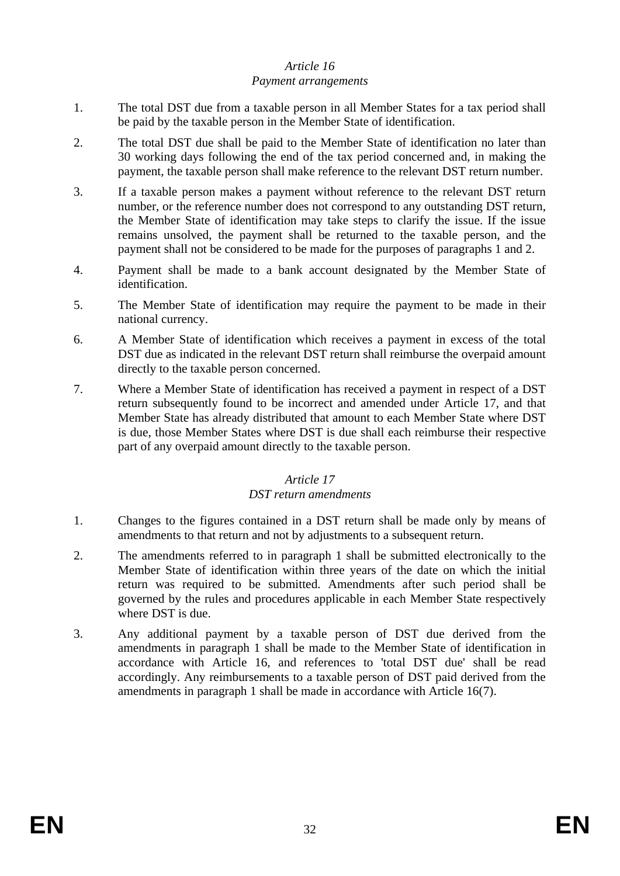### *Article 16*

#### *Payment arrangements*

- 1. The total DST due from a taxable person in all Member States for a tax period shall be paid by the taxable person in the Member State of identification.
- 2. The total DST due shall be paid to the Member State of identification no later than 30 working days following the end of the tax period concerned and, in making the payment, the taxable person shall make reference to the relevant DST return number.
- 3. If a taxable person makes a payment without reference to the relevant DST return number, or the reference number does not correspond to any outstanding DST return, the Member State of identification may take steps to clarify the issue. If the issue remains unsolved, the payment shall be returned to the taxable person, and the payment shall not be considered to be made for the purposes of paragraphs 1 and 2.
- 4. Payment shall be made to a bank account designated by the Member State of identification.
- 5. The Member State of identification may require the payment to be made in their national currency.
- 6. A Member State of identification which receives a payment in excess of the total DST due as indicated in the relevant DST return shall reimburse the overpaid amount directly to the taxable person concerned.
- 7. Where a Member State of identification has received a payment in respect of a DST return subsequently found to be incorrect and amended under Article 17, and that Member State has already distributed that amount to each Member State where DST is due, those Member States where DST is due shall each reimburse their respective part of any overpaid amount directly to the taxable person.

### *Article 17*

### *DST return amendments*

- 1. Changes to the figures contained in a DST return shall be made only by means of amendments to that return and not by adjustments to a subsequent return.
- 2. The amendments referred to in paragraph 1 shall be submitted electronically to the Member State of identification within three years of the date on which the initial return was required to be submitted. Amendments after such period shall be governed by the rules and procedures applicable in each Member State respectively where DST is due.
- 3. Any additional payment by a taxable person of DST due derived from the amendments in paragraph 1 shall be made to the Member State of identification in accordance with Article 16, and references to 'total DST due' shall be read accordingly. Any reimbursements to a taxable person of DST paid derived from the amendments in paragraph 1 shall be made in accordance with Article 16(7).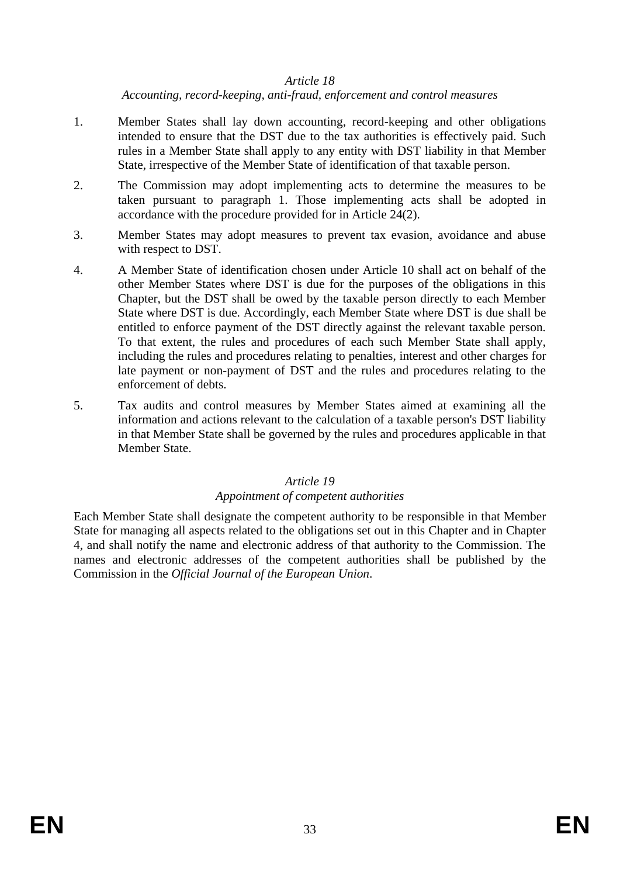### *Article 18*

### *Accounting, record-keeping, anti-fraud, enforcement and control measures*

- 1. Member States shall lay down accounting, record-keeping and other obligations intended to ensure that the DST due to the tax authorities is effectively paid. Such rules in a Member State shall apply to any entity with DST liability in that Member State, irrespective of the Member State of identification of that taxable person.
- 2. The Commission may adopt implementing acts to determine the measures to be taken pursuant to paragraph 1. Those implementing acts shall be adopted in accordance with the procedure provided for in Article 24(2).
- 3. Member States may adopt measures to prevent tax evasion, avoidance and abuse with respect to DST.
- 4. A Member State of identification chosen under Article 10 shall act on behalf of the other Member States where DST is due for the purposes of the obligations in this Chapter, but the DST shall be owed by the taxable person directly to each Member State where DST is due. Accordingly, each Member State where DST is due shall be entitled to enforce payment of the DST directly against the relevant taxable person. To that extent, the rules and procedures of each such Member State shall apply, including the rules and procedures relating to penalties, interest and other charges for late payment or non-payment of DST and the rules and procedures relating to the enforcement of debts.
- 5. Tax audits and control measures by Member States aimed at examining all the information and actions relevant to the calculation of a taxable person's DST liability in that Member State shall be governed by the rules and procedures applicable in that Member State.

### *Article 19*

### *Appointment of competent authorities*

Each Member State shall designate the competent authority to be responsible in that Member State for managing all aspects related to the obligations set out in this Chapter and in Chapter 4, and shall notify the name and electronic address of that authority to the Commission. The names and electronic addresses of the competent authorities shall be published by the Commission in the *Official Journal of the European Union*.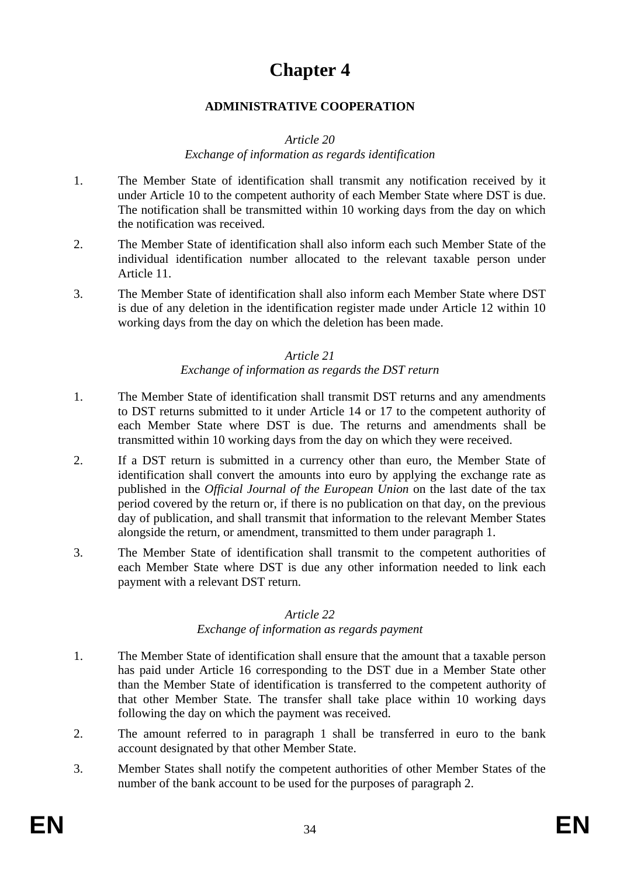# **Chapter 4**

### **ADMINISTRATIVE COOPERATION**

### *Article 20*

### *Exchange of information as regards identification*

- 1. The Member State of identification shall transmit any notification received by it under Article 10 to the competent authority of each Member State where DST is due. The notification shall be transmitted within 10 working days from the day on which the notification was received.
- 2. The Member State of identification shall also inform each such Member State of the individual identification number allocated to the relevant taxable person under Article 11.
- 3. The Member State of identification shall also inform each Member State where DST is due of any deletion in the identification register made under Article 12 within 10 working days from the day on which the deletion has been made.

### *Article 21*

### *Exchange of information as regards the DST return*

- 1. The Member State of identification shall transmit DST returns and any amendments to DST returns submitted to it under Article 14 or 17 to the competent authority of each Member State where DST is due. The returns and amendments shall be transmitted within 10 working days from the day on which they were received.
- 2. If a DST return is submitted in a currency other than euro, the Member State of identification shall convert the amounts into euro by applying the exchange rate as published in the *Official Journal of the European Union* on the last date of the tax period covered by the return or, if there is no publication on that day, on the previous day of publication, and shall transmit that information to the relevant Member States alongside the return, or amendment, transmitted to them under paragraph 1.
- 3. The Member State of identification shall transmit to the competent authorities of each Member State where DST is due any other information needed to link each payment with a relevant DST return.

### *Article 22*

### *Exchange of information as regards payment*

- 1. The Member State of identification shall ensure that the amount that a taxable person has paid under Article 16 corresponding to the DST due in a Member State other than the Member State of identification is transferred to the competent authority of that other Member State. The transfer shall take place within 10 working days following the day on which the payment was received.
- 2. The amount referred to in paragraph 1 shall be transferred in euro to the bank account designated by that other Member State.
- 3. Member States shall notify the competent authorities of other Member States of the number of the bank account to be used for the purposes of paragraph 2.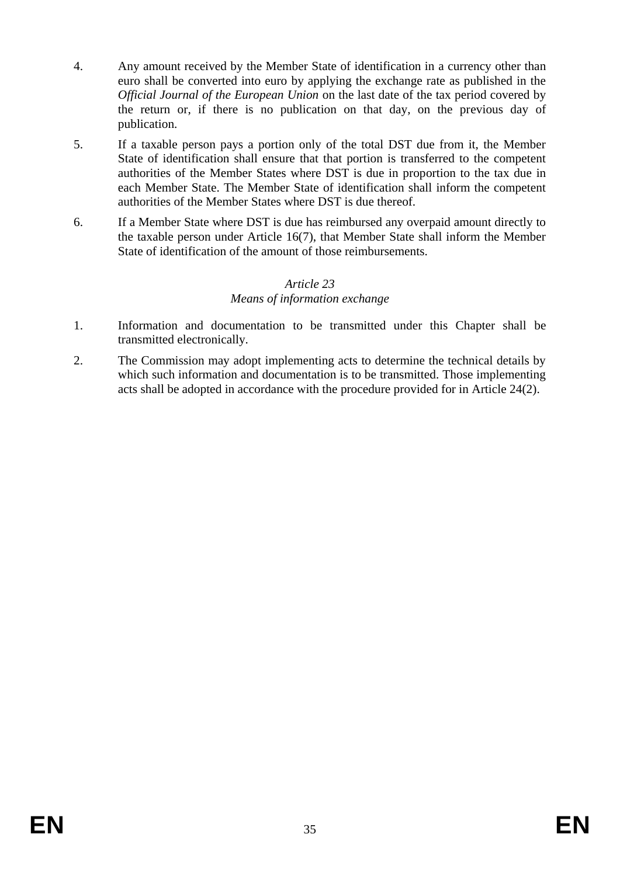- 4. Any amount received by the Member State of identification in a currency other than euro shall be converted into euro by applying the exchange rate as published in the *Official Journal of the European Union* on the last date of the tax period covered by the return or, if there is no publication on that day, on the previous day of publication.
- 5. If a taxable person pays a portion only of the total DST due from it, the Member State of identification shall ensure that that portion is transferred to the competent authorities of the Member States where DST is due in proportion to the tax due in each Member State. The Member State of identification shall inform the competent authorities of the Member States where DST is due thereof.
- 6. If a Member State where DST is due has reimbursed any overpaid amount directly to the taxable person under Article 16(7), that Member State shall inform the Member State of identification of the amount of those reimbursements.

### *Article 23 Means of information exchange*

- 1. Information and documentation to be transmitted under this Chapter shall be transmitted electronically.
- 2. The Commission may adopt implementing acts to determine the technical details by which such information and documentation is to be transmitted. Those implementing acts shall be adopted in accordance with the procedure provided for in Article 24(2).